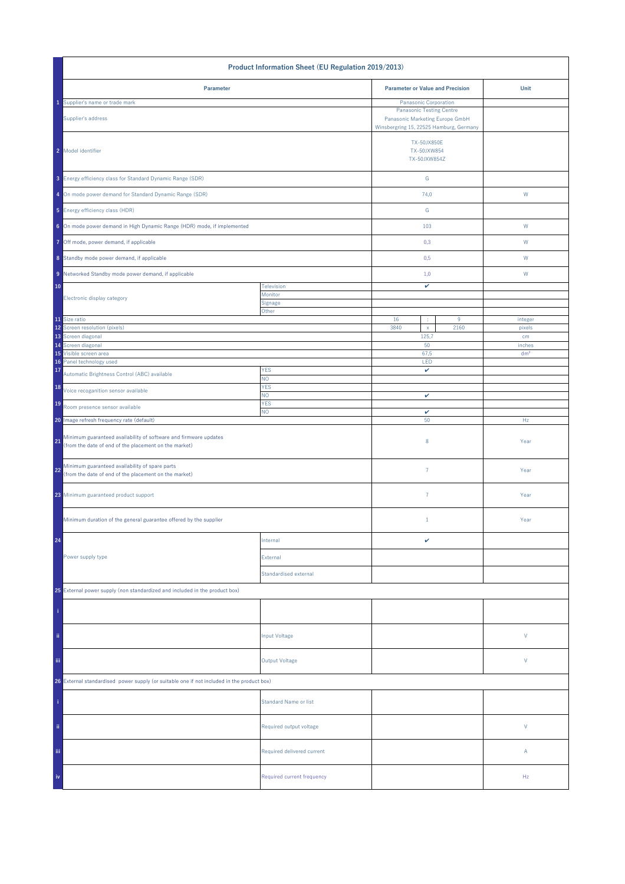| Product Information Sheet (EU Regulation 2019/2013)                                                                                                                          |                              |                                                                                                               |  |                 |  |
|------------------------------------------------------------------------------------------------------------------------------------------------------------------------------|------------------------------|---------------------------------------------------------------------------------------------------------------|--|-----------------|--|
| Parameter                                                                                                                                                                    |                              | <b>Parameter or Value and Precision</b>                                                                       |  | Unit            |  |
| 1 Supplier's name or trade mark                                                                                                                                              |                              | Panasonic Corporation                                                                                         |  |                 |  |
| Supplier's address                                                                                                                                                           |                              | <b>Panasonic Testing Centre</b><br>Panasonic Marketing Europe GmbH<br>Winsbergring 15, 22525 Hamburg, Germany |  |                 |  |
| 2 Model identifier                                                                                                                                                           |                              | <b>TX-50JX850E</b><br>TX-50JXW854<br>TX-50JXW854Z                                                             |  |                 |  |
| 3 Energy efficiency class for Standard Dynamic Range (SDR)                                                                                                                   |                              | G                                                                                                             |  |                 |  |
| 4 On mode power demand for Standard Dynamic Range (SDR)                                                                                                                      |                              | 74,0                                                                                                          |  | W               |  |
| 5 Energy efficiency class (HDR)                                                                                                                                              |                              | G                                                                                                             |  |                 |  |
| 6 On mode power demand in High Dynamic Range (HDR) mode, if implemented                                                                                                      |                              | 103                                                                                                           |  | ${\sf W}$       |  |
| 7 Off mode, power demand, if applicable                                                                                                                                      |                              | 0,3                                                                                                           |  | W               |  |
| 8 Standby mode power demand, if applicable                                                                                                                                   |                              | 0,5                                                                                                           |  | W               |  |
| 9 Networked Standby mode power demand, if applicable                                                                                                                         |                              | 1,0                                                                                                           |  | W               |  |
| 10                                                                                                                                                                           | Television<br>Monitor        | v                                                                                                             |  |                 |  |
| Electronic display category                                                                                                                                                  | Signage<br>Other             | 16<br>9<br>÷                                                                                                  |  |                 |  |
| 11 Size ratio                                                                                                                                                                |                              |                                                                                                               |  | integer         |  |
| 12 Screen resolution (pixels)<br>13 Screen diagonal                                                                                                                          |                              | 3840<br>2160<br>$\mathsf X$<br>125,7                                                                          |  | pixels<br>cm    |  |
| 14 Screen diagonal                                                                                                                                                           |                              | 50                                                                                                            |  | inches          |  |
| 15 Visible screen area                                                                                                                                                       |                              | 67,5                                                                                                          |  | dm <sup>2</sup> |  |
| 16 Panel technology used<br>17                                                                                                                                               | <b>YES</b>                   | LED<br>$\checkmark$                                                                                           |  |                 |  |
| Automatic Brightness Control (ABC) available                                                                                                                                 | NO.                          |                                                                                                               |  |                 |  |
| 18<br>Voice recoganition sensor available                                                                                                                                    | <b>YES</b><br>NO.            |                                                                                                               |  |                 |  |
| 19<br>Room presence sensor available                                                                                                                                         | <b>YES</b>                   | v                                                                                                             |  |                 |  |
|                                                                                                                                                                              | NO.                          | v<br>50                                                                                                       |  | Hz              |  |
| 20 Image refresh frequency rate (default)<br>Minimum guaranteed availability of software and firmware updates<br>21<br>(from the date of end of the placement on the market) |                              | 8                                                                                                             |  | Year            |  |
| Minimum guaranteed availability of spare parts<br>22<br>(from the date of end of the placement on the market)                                                                |                              | $\overline{7}$                                                                                                |  | Year            |  |
| 23 Minimum guaranteed product support                                                                                                                                        |                              | $\overline{7}$                                                                                                |  | Year            |  |
| Minimum duration of the general guarantee offered by the supplier                                                                                                            |                              | $\mathbf{1}$                                                                                                  |  | Year            |  |
| 24                                                                                                                                                                           | Internal                     | v                                                                                                             |  |                 |  |
| Power supply type                                                                                                                                                            | External                     |                                                                                                               |  |                 |  |
|                                                                                                                                                                              | Standardised external        |                                                                                                               |  |                 |  |
| 25 External power supply (non standardized and included in the product box)                                                                                                  |                              |                                                                                                               |  |                 |  |
|                                                                                                                                                                              |                              |                                                                                                               |  |                 |  |
| ii.                                                                                                                                                                          | Input Voltage                |                                                                                                               |  | $\vee$          |  |
| iii.                                                                                                                                                                         | <b>Output Voltage</b>        |                                                                                                               |  | V               |  |
| 26 External standardised power supply (or suitable one if not included in the product box)                                                                                   |                              |                                                                                                               |  |                 |  |
|                                                                                                                                                                              | <b>Standard Name or list</b> |                                                                                                               |  |                 |  |
| ii.                                                                                                                                                                          | Required output voltage      |                                                                                                               |  | V               |  |
| iii                                                                                                                                                                          | Required delivered current   |                                                                                                               |  | Α               |  |
| iv                                                                                                                                                                           | Required current frequency   |                                                                                                               |  | Hz              |  |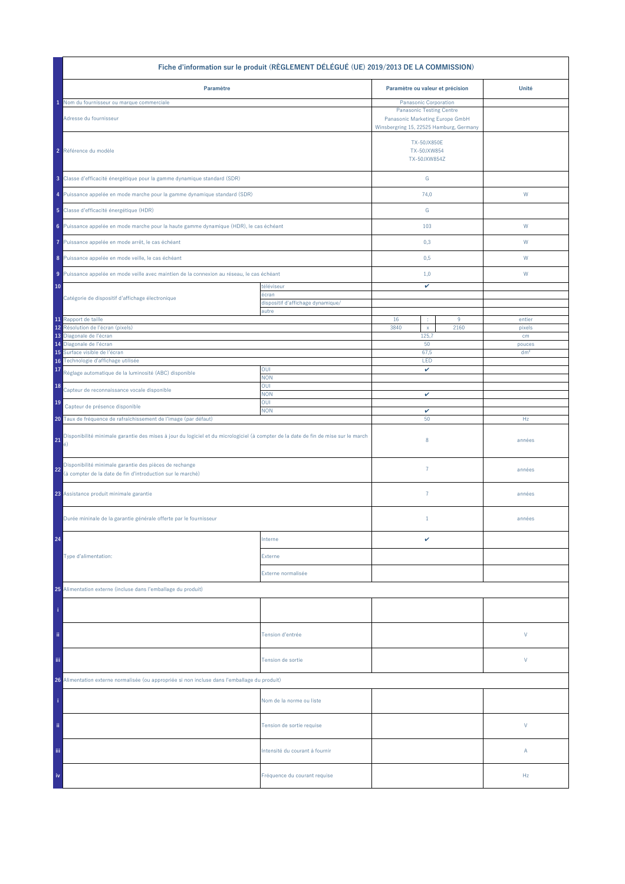| Fiche d'information sur le produit (RÈGLEMENT DÉLÉGUÉ (UE) 2019/2013 DE LA COMMISSION)                                                                                                                             |                                                          |                                                                                                               |           |                           |  |  |
|--------------------------------------------------------------------------------------------------------------------------------------------------------------------------------------------------------------------|----------------------------------------------------------|---------------------------------------------------------------------------------------------------------------|-----------|---------------------------|--|--|
| Paramètre                                                                                                                                                                                                          |                                                          | Paramètre ou valeur et précision                                                                              |           | Unité                     |  |  |
| Nom du fournisseur ou marque commerciale                                                                                                                                                                           |                                                          | Panasonic Corporation                                                                                         |           |                           |  |  |
| Adresse du fournisseur                                                                                                                                                                                             |                                                          | <b>Panasonic Testing Centre</b><br>Panasonic Marketing Europe GmbH<br>Winsbergring 15, 22525 Hamburg, Germany |           |                           |  |  |
| 2 Référence du modèle                                                                                                                                                                                              |                                                          | <b>TX-50JX850E</b><br>TX-50JXW854<br>TX-50JXW854Z                                                             |           |                           |  |  |
| 3 Classe d'efficacité énergétique pour la gamme dynamique standard (SDR)                                                                                                                                           |                                                          | ${\mathsf G}$                                                                                                 |           |                           |  |  |
| 4 Puissance appelée en mode marche pour la gamme dynamique standard (SDR)                                                                                                                                          |                                                          | 74,0                                                                                                          |           | W                         |  |  |
| 5 Classe d'efficacité énergétique (HDR)                                                                                                                                                                            |                                                          | ${\mathbb G}$                                                                                                 |           |                           |  |  |
| 6 Puissance appelée en mode marche pour la haute gamme dynamique (HDR), le cas échéant                                                                                                                             |                                                          | 103                                                                                                           |           | W                         |  |  |
| Puissance appelée en mode arrêt, le cas échéant<br>7                                                                                                                                                               |                                                          | 0,3                                                                                                           |           | W                         |  |  |
| 8 Puissance appelée en mode veille, le cas échéant                                                                                                                                                                 |                                                          | 0,5                                                                                                           |           | W                         |  |  |
| 9 Puissance appelée en mode veille avec maintien de la connexion au réseau, le cas échéant                                                                                                                         |                                                          | 1,0                                                                                                           |           | W                         |  |  |
| 10<br>Catégorie de dispositif d'affichage électronique                                                                                                                                                             | téléviseur<br>écran<br>dispositif d'affichage dynamique/ | v                                                                                                             |           |                           |  |  |
|                                                                                                                                                                                                                    | autre                                                    |                                                                                                               |           |                           |  |  |
| 11 Rapport de taille<br>Résolution de l'écran (pixels)<br>12                                                                                                                                                       |                                                          | 16<br>÷<br>3840<br>$\mathsf X$                                                                                | 9<br>2160 | entier<br>pixels          |  |  |
| 13 Diagonale de l'écran                                                                                                                                                                                            |                                                          | 125,7<br>50                                                                                                   |           | cm                        |  |  |
| 14 Diagonale de l'écran<br>Surface visible de l'écran                                                                                                                                                              |                                                          | 67,5                                                                                                          |           | pouces<br>dm <sup>2</sup> |  |  |
| Technologie d'affichage utilisée<br>16                                                                                                                                                                             |                                                          | LED                                                                                                           |           |                           |  |  |
| 17<br>Réglage automatique de la luminosité (ABC) disponible                                                                                                                                                        | OUI<br><b>NON</b>                                        | v                                                                                                             |           |                           |  |  |
| 18<br>Capteur de reconnaissance vocale disponible                                                                                                                                                                  | OUI<br><b>NON</b><br>OUI                                 | v                                                                                                             |           |                           |  |  |
| 19<br>Capteur de présence disponible                                                                                                                                                                               | <b>NON</b>                                               | $\checkmark$<br>50                                                                                            |           |                           |  |  |
| 20 Taux de fréquence de rafraîchissement de l'image (par défaut)<br>Disponibilité minimale garantie des mises à jour du logiciel et du micrologiciel (à compter de la date de fin de mise sur le march<br>21<br>é) |                                                          | 8                                                                                                             |           | Hz<br>années              |  |  |
| Disponibilité minimale garantie des pièces de rechange<br>22<br>(à compter de la date de fin d'introduction sur le marché)                                                                                         |                                                          | $\overline{7}$                                                                                                |           | années                    |  |  |
| 23 Assistance produit minimale garantie                                                                                                                                                                            |                                                          | $\overline{7}$                                                                                                |           | années                    |  |  |
| Durée mininale de la garantie générale offerte par le fournisseur                                                                                                                                                  |                                                          | $1\,$                                                                                                         |           | années                    |  |  |
| 24                                                                                                                                                                                                                 | Interne                                                  | v                                                                                                             |           |                           |  |  |
| Type d'alimentation:                                                                                                                                                                                               | Externe                                                  |                                                                                                               |           |                           |  |  |
|                                                                                                                                                                                                                    | Externe normalisée                                       |                                                                                                               |           |                           |  |  |
| 25 Alimentation externe (incluse dans l'emballage du produit)                                                                                                                                                      |                                                          |                                                                                                               |           |                           |  |  |
|                                                                                                                                                                                                                    |                                                          |                                                                                                               |           |                           |  |  |
| ii.                                                                                                                                                                                                                | Tension d'entrée                                         |                                                                                                               |           | V                         |  |  |
| iii.                                                                                                                                                                                                               | Tension de sortie                                        |                                                                                                               | V         |                           |  |  |
| 26 Alimentation externe normalisée (ou appropriée si non incluse dans l'emballage du produit)                                                                                                                      |                                                          |                                                                                                               |           |                           |  |  |
|                                                                                                                                                                                                                    | Nom de la norme ou liste                                 |                                                                                                               |           |                           |  |  |
| ii.                                                                                                                                                                                                                | Tension de sortie requise                                |                                                                                                               |           | V                         |  |  |
| Ϊij                                                                                                                                                                                                                | Intensité du courant à fournir                           |                                                                                                               |           | Α                         |  |  |
| iv                                                                                                                                                                                                                 | Fréquence du courant requise                             |                                                                                                               |           | Hz                        |  |  |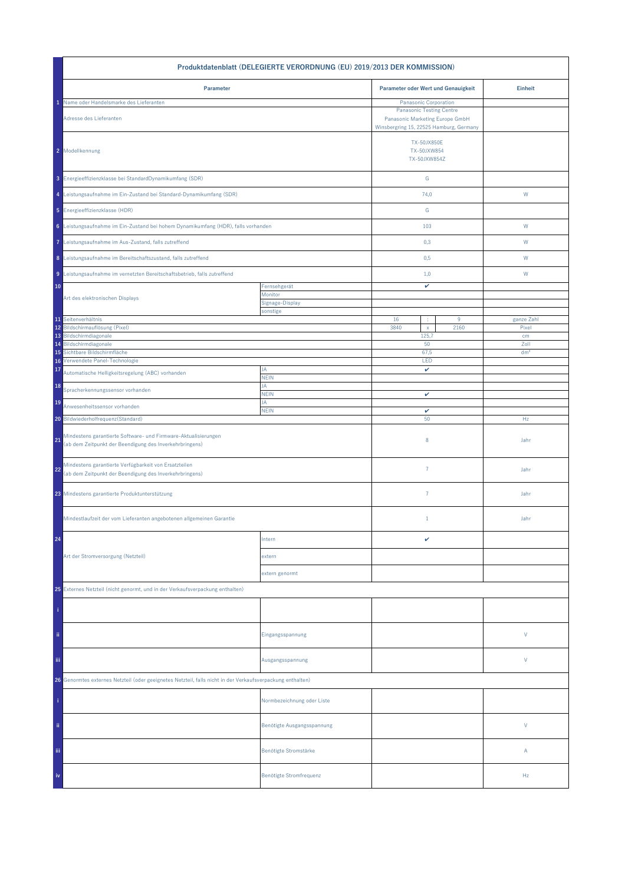| Produktdatenblatt (DELEGIERTE VERORDNUNG (EU) 2019/2013 DER KOMMISSION)                                                         |                             |                                                                                                                                        |  |                 |  |  |
|---------------------------------------------------------------------------------------------------------------------------------|-----------------------------|----------------------------------------------------------------------------------------------------------------------------------------|--|-----------------|--|--|
| Parameter oder Wert und Genauigkeit<br>Parameter                                                                                |                             |                                                                                                                                        |  | <b>Einheit</b>  |  |  |
| Name oder Handelsmarke des Lieferanten<br>Adresse des Lieferanten                                                               |                             | Panasonic Corporation<br><b>Panasonic Testing Centre</b><br>Panasonic Marketing Europe GmbH<br>Winsbergring 15, 22525 Hamburg, Germany |  |                 |  |  |
| 2 Modellkennung                                                                                                                 |                             | <b>TX-50JX850E</b><br>TX-50JXW854<br>TX-50JXW854Z                                                                                      |  |                 |  |  |
| 3 Energieeffizienzklasse bei StandardDynamikumfang (SDR)                                                                        |                             | ${\mathbb G}$                                                                                                                          |  |                 |  |  |
| 4 Leistungsaufnahme im Ein-Zustand bei Standard-Dynamikumfang (SDR)                                                             |                             | 74,0                                                                                                                                   |  | W               |  |  |
| 5 Energieeffizienzklasse (HDR)                                                                                                  |                             | G                                                                                                                                      |  |                 |  |  |
| 6 Leistungsaufnahme im Ein-Zustand bei hohem Dynamikumfang (HDR), falls vorhanden                                               |                             | 103                                                                                                                                    |  | W               |  |  |
| 7 Leistungsaufnahme im Aus-Zustand, falls zutreffend                                                                            |                             | 0,3                                                                                                                                    |  | W               |  |  |
| 8 Leistungsaufnahme im Bereitschaftszustand, falls zutreffend                                                                   |                             | 0,5                                                                                                                                    |  | W               |  |  |
| 9 Leistungsaufnahme im vernetzten Bereitschaftsbetrieb, falls zutreffend                                                        |                             | 1,0                                                                                                                                    |  | W               |  |  |
| 10                                                                                                                              | Fernsehgerät<br>Monitor     | v                                                                                                                                      |  |                 |  |  |
| Art des elektronischen Displays                                                                                                 | Signage-Display<br>sonstige |                                                                                                                                        |  |                 |  |  |
| 11 Seitenverhältnis                                                                                                             |                             | 16<br>$9\,$<br>÷                                                                                                                       |  | ganze Zahl      |  |  |
| 12 Bildschirmauflösung (Pixel)<br>13 Bildschirmdiagonale                                                                        |                             | 3840<br>2160<br>$\mathsf{x}$<br>125,7                                                                                                  |  | Pixel<br>cm     |  |  |
| Bildschirmdiagonale<br>14                                                                                                       |                             | 50                                                                                                                                     |  | Zoll            |  |  |
| Sichtbare Bildschirmfläche<br>15                                                                                                |                             | 67,5                                                                                                                                   |  | dm <sup>2</sup> |  |  |
| Verwendete Panel-Technologie<br>16<br>17                                                                                        | JA                          | LED                                                                                                                                    |  |                 |  |  |
| Automatische Helligkeitsregelung (ABC) vorhanden                                                                                | <b>NEIN</b><br>JA           | v                                                                                                                                      |  |                 |  |  |
| 18<br>Spracherkennungssensor vorhanden                                                                                          | <b>NEIN</b>                 | v                                                                                                                                      |  |                 |  |  |
| 19<br>Anwesenheitssensor vorhanden                                                                                              | JA<br><b>NEIN</b>           | $\checkmark$                                                                                                                           |  |                 |  |  |
| 20 Bildwiederholfrequenz(Standard)                                                                                              |                             | 50                                                                                                                                     |  | Hz              |  |  |
| Mindestens garantierte Software- und Firmware-Aktualisierungen<br>21<br>(ab dem Zeitpunkt der Beendigung des Inverkehrbringens) |                             | 8                                                                                                                                      |  | Jahr            |  |  |
| Mindestens garantierte Verfügbarkeit von Ersatzteilen<br>22<br>(ab dem Zeitpunkt der Beendigung des Inverkehrbringens)          |                             | $\overline{7}$                                                                                                                         |  | Jahr            |  |  |
| 23 Mindestens garantierte Produktunterstützung                                                                                  |                             | $\overline{7}$                                                                                                                         |  | Jahr            |  |  |
| Mindestlaufzeit der vom Lieferanten angebotenen allgemeinen Garantie                                                            |                             | $\mathbf{1}$                                                                                                                           |  | Jahr            |  |  |
| 24                                                                                                                              | Intern                      | v                                                                                                                                      |  |                 |  |  |
| Art der Stromversorgung (Netzteil)                                                                                              | extern                      |                                                                                                                                        |  |                 |  |  |
|                                                                                                                                 | extern genormt              |                                                                                                                                        |  |                 |  |  |
| 25 Externes Netzteil (nicht genormt, und in der Verkaufsverpackung enthalten)                                                   |                             |                                                                                                                                        |  |                 |  |  |
|                                                                                                                                 |                             |                                                                                                                                        |  |                 |  |  |
| ii.                                                                                                                             | Eingangsspannung            |                                                                                                                                        |  | V               |  |  |
| Ϊij                                                                                                                             | Ausgangsspannung            |                                                                                                                                        |  | V               |  |  |
| 26 Genormtes externes Netzteil (oder geeignetes Netzteil, falls nicht in der Verkaufsverpackung enthalten)                      |                             |                                                                                                                                        |  |                 |  |  |
|                                                                                                                                 | Normbezeichnung oder Liste  |                                                                                                                                        |  |                 |  |  |
| ii.                                                                                                                             | Benötigte Ausgangsspannung  |                                                                                                                                        |  | V               |  |  |
| Ϊij                                                                                                                             | Benötigte Stromstärke       |                                                                                                                                        |  | Α               |  |  |
| iv                                                                                                                              | Benötigte Stromfrequenz     |                                                                                                                                        |  | Hz              |  |  |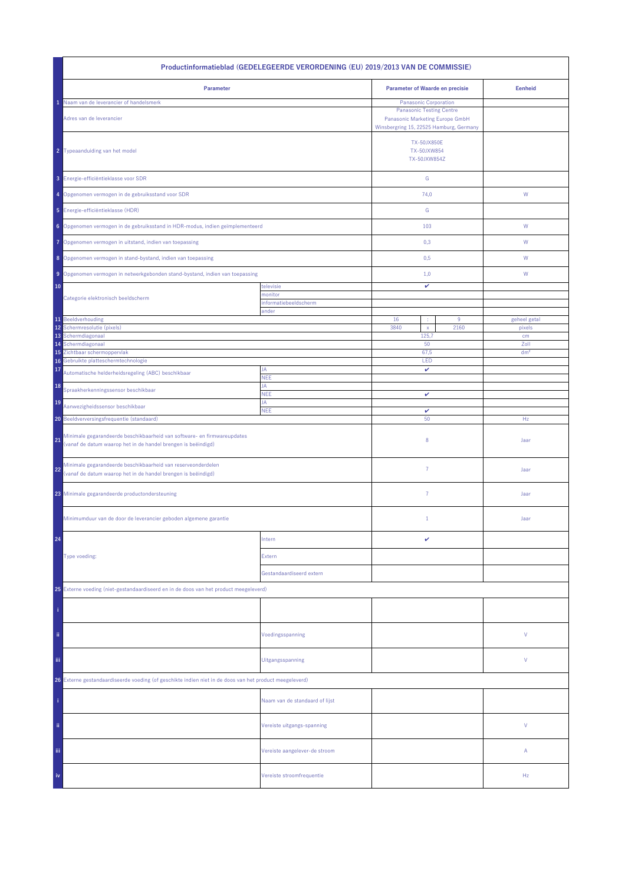| Productinformatieblad (GEDELEGEERDE VERORDENING (EU) 2019/2013 VAN DE COMMISSIE)                                                    |                                |                                                                                                                                        |                                                   |                 |  |  |
|-------------------------------------------------------------------------------------------------------------------------------------|--------------------------------|----------------------------------------------------------------------------------------------------------------------------------------|---------------------------------------------------|-----------------|--|--|
| Parameter                                                                                                                           |                                | <b>Parameter of Waarde en precisie</b>                                                                                                 |                                                   | <b>Eenheid</b>  |  |  |
| Naam van de leverancier of handelsmerk<br>Adres van de leverancier                                                                  |                                | Panasonic Corporation<br><b>Panasonic Testing Centre</b><br>Panasonic Marketing Europe GmbH<br>Winsbergring 15, 22525 Hamburg, Germany |                                                   |                 |  |  |
| 2 Typeaanduiding van het model                                                                                                      |                                |                                                                                                                                        | <b>TX-50JX850E</b><br>TX-50JXW854<br>TX-50JXW854Z |                 |  |  |
| 3 Energie-efficiëntieklasse voor SDR                                                                                                |                                | ${\mathbb G}$                                                                                                                          |                                                   |                 |  |  |
| 4 Opgenomen vermogen in de gebruiksstand voor SDR                                                                                   |                                | 74,0                                                                                                                                   |                                                   | ${\mathsf W}$   |  |  |
| 5 Energie-efficiëntieklasse (HDR)                                                                                                   |                                | G                                                                                                                                      |                                                   |                 |  |  |
| 6 Opgenomen vermogen in de gebruiksstand in HDR-modus, indien geïmplementeerd                                                       |                                | 103                                                                                                                                    |                                                   | W               |  |  |
| Opgenomen vermogen in uitstand, indien van toepassing<br>7                                                                          |                                | 0,3                                                                                                                                    |                                                   | W               |  |  |
| 8 Opgenomen vermogen in stand-bystand, indien van toepassing                                                                        |                                | 0,5                                                                                                                                    |                                                   | W               |  |  |
| 9 Opgenomen vermogen in netwerkgebonden stand-bystand, indien van toepassing                                                        |                                | 1,0                                                                                                                                    |                                                   | W               |  |  |
| 10<br>Categorie elektronisch beeldscherm                                                                                            | televisie<br>monitor           | v                                                                                                                                      |                                                   |                 |  |  |
|                                                                                                                                     | informatiebeeldscherm<br>ander |                                                                                                                                        |                                                   |                 |  |  |
| 11 Beeldverhouding                                                                                                                  |                                | 16<br>÷                                                                                                                                | $9\,$                                             | geheel getal    |  |  |
| 12<br>Schermresolutie (pixels)<br>13<br>Schermdiagonaal                                                                             |                                | 3840<br>$\mathsf{x}$<br>125,7                                                                                                          | 2160                                              | pixels<br>cm    |  |  |
| Schermdiagonaal<br>14                                                                                                               |                                | 50                                                                                                                                     |                                                   | Zoll            |  |  |
| Zichtbaar schermoppervlak<br>15<br>Gebruikte platteschermtechnologie<br>16                                                          |                                | 67,5                                                                                                                                   |                                                   | dm <sup>2</sup> |  |  |
| 17<br>Automatische helderheidsregeling (ABC) beschikbaar                                                                            | JA                             | LED<br>v                                                                                                                               |                                                   |                 |  |  |
| 18                                                                                                                                  | <b>NEE</b><br>JA               |                                                                                                                                        |                                                   |                 |  |  |
| Spraakherkenningssensor beschikbaar<br>19                                                                                           | <b>NEE</b><br>JA               | v                                                                                                                                      |                                                   |                 |  |  |
| Aanwezigheidssensor beschikbaar                                                                                                     | <b>NEE</b>                     | $\checkmark$                                                                                                                           |                                                   |                 |  |  |
| 20 Beeldverversingsfrequentie (standaard)<br>Minimale gegarandeerde beschikbaarheid van software- en firmwareupdates                |                                | 50                                                                                                                                     |                                                   | Hz              |  |  |
| 21<br>(vanaf de datum waarop het in de handel brengen is beëindigd)                                                                 |                                | 8                                                                                                                                      |                                                   | Jaar            |  |  |
| Minimale gegarandeerde beschikbaarheid van reserveonderdelen<br>22<br>(vanaf de datum waarop het in de handel brengen is beëindigd) |                                | $\overline{7}$                                                                                                                         |                                                   | Jaar            |  |  |
| 23 Minimale gegarandeerde productondersteuning                                                                                      |                                | $\overline{7}$                                                                                                                         |                                                   | Jaar            |  |  |
| Minimumduur van de door de leverancier geboden algemene garantie                                                                    |                                | $\mathbf{1}$                                                                                                                           |                                                   | Jaar            |  |  |
| 24                                                                                                                                  | Intern                         | v                                                                                                                                      |                                                   |                 |  |  |
| Type voeding:                                                                                                                       | Extern                         |                                                                                                                                        |                                                   |                 |  |  |
|                                                                                                                                     | Gestandaardiseerd extern       |                                                                                                                                        |                                                   |                 |  |  |
| 25 Externe voeding (niet-gestandaardiseerd en in de doos van het product meegeleverd)                                               |                                |                                                                                                                                        |                                                   |                 |  |  |
|                                                                                                                                     |                                |                                                                                                                                        |                                                   |                 |  |  |
| ii.                                                                                                                                 | Voedingsspanning               |                                                                                                                                        |                                                   | ٧               |  |  |
| Ϊij                                                                                                                                 | Uitgangsspanning               |                                                                                                                                        |                                                   | ٧               |  |  |
| 26 Externe gestandaardiseerde voeding (of geschikte indien niet in de doos van het product meegeleverd)                             |                                |                                                                                                                                        |                                                   |                 |  |  |
|                                                                                                                                     | Naam van de standaard of lijst |                                                                                                                                        |                                                   |                 |  |  |
| ii.                                                                                                                                 | Vereiste uitgangs-spanning     |                                                                                                                                        |                                                   | V               |  |  |
| Ϊij                                                                                                                                 | Vereiste aangelever-de stroom  |                                                                                                                                        |                                                   | Α               |  |  |
| iv                                                                                                                                  | Vereiste stroomfrequentie      |                                                                                                                                        |                                                   | Hz              |  |  |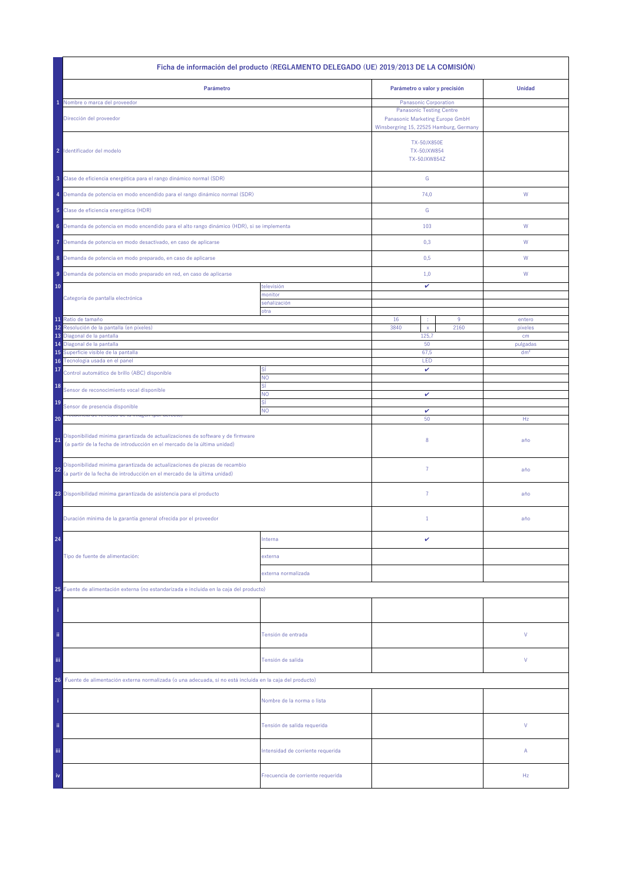| Ficha de información del producto (REGLAMENTO DELEGADO (UE) 2019/2013 DE LA COMISIÓN)                                                                                  |                                   |                                                                                                                                        |      |                 |  |  |
|------------------------------------------------------------------------------------------------------------------------------------------------------------------------|-----------------------------------|----------------------------------------------------------------------------------------------------------------------------------------|------|-----------------|--|--|
| Parámetro                                                                                                                                                              |                                   | Parámetro o valor y precisión                                                                                                          |      | <b>Unidad</b>   |  |  |
| Nombre o marca del proveedor<br>Dirección del proveedor                                                                                                                |                                   | Panasonic Corporation<br><b>Panasonic Testing Centre</b><br>Panasonic Marketing Europe GmbH<br>Winsbergring 15, 22525 Hamburg, Germany |      |                 |  |  |
| 2 Identificador del modelo                                                                                                                                             |                                   | <b>TX-50JX850E</b><br>TX-50JXW854<br>TX-50JXW854Z                                                                                      |      |                 |  |  |
| 3 Clase de eficiencia energética para el rango dinámico normal (SDR)                                                                                                   |                                   | ${\mathbb G}$                                                                                                                          |      |                 |  |  |
| 4 Demanda de potencia en modo encendido para el rango dinámico normal (SDR)                                                                                            |                                   | 74,0                                                                                                                                   |      | W               |  |  |
| 5 Clase de eficiencia energética (HDR)                                                                                                                                 |                                   | G                                                                                                                                      |      |                 |  |  |
| 6 Demanda de potencia en modo encendido para el alto rango dinámico (HDR), si se implementa                                                                            |                                   | 103                                                                                                                                    |      | W               |  |  |
| Demanda de potencia en modo desactivado, en caso de aplicarse<br>7                                                                                                     |                                   | 0,3                                                                                                                                    |      | W               |  |  |
| 8 Demanda de potencia en modo preparado, en caso de aplicarse                                                                                                          |                                   | 0,5                                                                                                                                    |      | W               |  |  |
| 9 Demanda de potencia en modo preparado en red, en caso de aplicarse                                                                                                   |                                   | 1,0                                                                                                                                    |      | W               |  |  |
| 10<br>Categoría de pantalla electrónica                                                                                                                                | televisión<br>monitor             | v                                                                                                                                      |      |                 |  |  |
|                                                                                                                                                                        | señalización<br>otra              |                                                                                                                                        |      |                 |  |  |
| 11 Ratio de tamaño                                                                                                                                                     |                                   | 16<br>$9\,$<br>÷                                                                                                                       |      | entero          |  |  |
| 12<br>Resolución de la pantalla (en píxeles)<br>13 Diagonal de la pantalla                                                                                             |                                   | 3840<br>$\mathsf X$<br>125,7                                                                                                           | 2160 | pixeles<br>cm   |  |  |
| Diagonal de la pantalla<br>14                                                                                                                                          |                                   | 50                                                                                                                                     |      | pulgadas        |  |  |
| 15 Superficie visible de la pantalla                                                                                                                                   |                                   | 67,5                                                                                                                                   |      | dm <sup>2</sup> |  |  |
| 16 Tecnología usada en el panel<br>17                                                                                                                                  | Sİ                                | LED<br>v                                                                                                                               |      |                 |  |  |
| Control automático de brillo (ABC) disponible<br>18                                                                                                                    | <b>NO</b><br>SÍ                   |                                                                                                                                        |      |                 |  |  |
| Sensor de reconocimiento vocal disponible                                                                                                                              | NO<br>SÍ                          | v                                                                                                                                      |      |                 |  |  |
| 19<br>Sensor de presencia disponible                                                                                                                                   | NO.                               | $\checkmark$                                                                                                                           |      |                 |  |  |
| 20<br>Disponibilidad mínima garantizada de actualizaciones de software y de firmware<br>21<br>(a partir de la fecha de introducción en el mercado de la última unidad) |                                   | 50<br>8                                                                                                                                |      | Hz<br>año       |  |  |
| Disponibilidad mínima garantizada de actualizaciones de piezas de recambio<br>22<br>(a partir de la fecha de introducción en el mercado de la última unidad)           |                                   | $\overline{7}$                                                                                                                         |      | año             |  |  |
| 23 Disponibilidad mínima garantizada de asistencia para el producto                                                                                                    |                                   | $\overline{7}$                                                                                                                         |      | año             |  |  |
| Duración mínima de la garantía general ofrecida por el proveedor                                                                                                       |                                   | $1\,$                                                                                                                                  |      | año             |  |  |
| 24                                                                                                                                                                     | Interna                           | v                                                                                                                                      |      |                 |  |  |
| Tipo de fuente de alimentación:                                                                                                                                        | externa                           |                                                                                                                                        |      |                 |  |  |
|                                                                                                                                                                        | externa normalizada               |                                                                                                                                        |      |                 |  |  |
| 25 Fuente de alimentación externa (no estandarizada e incluida en la caja del producto)                                                                                |                                   |                                                                                                                                        |      |                 |  |  |
|                                                                                                                                                                        |                                   |                                                                                                                                        |      |                 |  |  |
| ii.                                                                                                                                                                    | Tensión de entrada                |                                                                                                                                        |      | ٧               |  |  |
| Ϊij                                                                                                                                                                    | Tensión de salida                 |                                                                                                                                        |      | ٧               |  |  |
| Fuente de alimentación externa normalizada (o una adecuada, si no está incluida en la caja del producto)<br>26                                                         |                                   |                                                                                                                                        |      |                 |  |  |
|                                                                                                                                                                        | Nombre de la norma o lista        |                                                                                                                                        |      |                 |  |  |
| ii.                                                                                                                                                                    | Tensión de salida requerida       |                                                                                                                                        |      | V               |  |  |
| Ϊij                                                                                                                                                                    | Intensidad de corriente requerida |                                                                                                                                        |      | Α               |  |  |
| iv                                                                                                                                                                     | Frecuencia de corriente requerida |                                                                                                                                        |      | Hz              |  |  |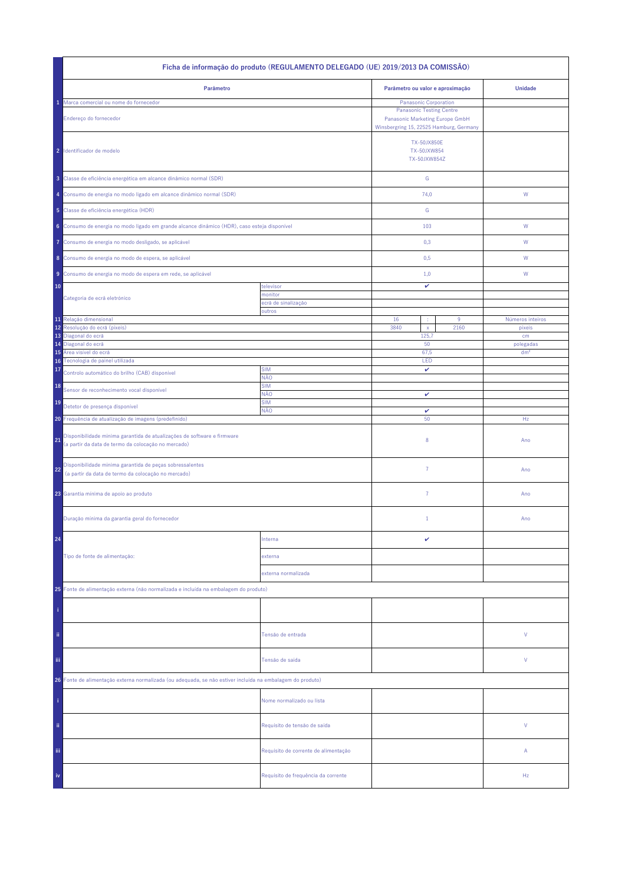| Ficha de informação do produto (REGULAMENTO DELEGADO (UE) 2019/2013 DA COMISSÃO)                                                     |                                      |                                                                                                               |               |                            |  |  |
|--------------------------------------------------------------------------------------------------------------------------------------|--------------------------------------|---------------------------------------------------------------------------------------------------------------|---------------|----------------------------|--|--|
| Parâmetro                                                                                                                            |                                      | Parâmetro ou valor e aproximação                                                                              |               | <b>Unidade</b>             |  |  |
| Marca comercial ou nome do fornecedor                                                                                                |                                      | Panasonic Corporation                                                                                         |               |                            |  |  |
| Endereço do fornecedor                                                                                                               |                                      | <b>Panasonic Testing Centre</b><br>Panasonic Marketing Europe GmbH<br>Winsbergring 15, 22525 Hamburg, Germany |               |                            |  |  |
| 2 Identificador de modelo                                                                                                            |                                      | <b>TX-50JX850E</b><br>TX-50JXW854<br>TX-50JXW854Z                                                             |               |                            |  |  |
| 3 Classe de eficiência energética em alcance dinâmico normal (SDR)                                                                   |                                      | ${\mathbb G}$                                                                                                 |               |                            |  |  |
| 4 Consumo de energia no modo ligado em alcance dinâmico normal (SDR)                                                                 |                                      | 74,0                                                                                                          |               | W                          |  |  |
| 5 Classe de eficiência energética (HDR)                                                                                              |                                      | G                                                                                                             |               |                            |  |  |
| 6 Consumo de energia no modo ligado em grande alcance dinâmico (HDR), caso esteja disponível                                         |                                      | 103                                                                                                           |               | ${\sf W}$                  |  |  |
| Consumo de energia no modo desligado, se aplicável<br>Ô                                                                              |                                      | 0,3                                                                                                           |               | W                          |  |  |
| 8 Consumo de energia no modo de espera, se aplicável                                                                                 |                                      | 0,5                                                                                                           |               | W                          |  |  |
| Consumo de energia no modo de espera em rede, se aplicável<br>9                                                                      |                                      | 1,0                                                                                                           |               | W                          |  |  |
| 10                                                                                                                                   | televisor<br>monitor                 | v                                                                                                             |               |                            |  |  |
| Categoria de ecrã eletrónico                                                                                                         | ecră de sinalização                  |                                                                                                               |               |                            |  |  |
|                                                                                                                                      | outros                               |                                                                                                               |               |                            |  |  |
| 11 Relação dimensional<br>Resolução do ecrã (píxeis)<br>12                                                                           |                                      | 16<br>3840<br>$\mathsf X$                                                                                     | $9\,$<br>2160 | Números inteiros<br>pixeis |  |  |
| 13<br>Diagonal do ecrã                                                                                                               |                                      | 125,7                                                                                                         |               | cm                         |  |  |
| Diagonal do ecrã<br>14                                                                                                               |                                      | 50                                                                                                            |               | polegadas                  |  |  |
| Área visível do ecrã<br>15<br>Tecnologia de painel utilizada<br>16                                                                   |                                      | 67,5<br>LED                                                                                                   |               | dm <sup>2</sup>            |  |  |
| 17<br>Controlo automático do brilho (CAB) disponível                                                                                 | <b>SIM</b>                           | v                                                                                                             |               |                            |  |  |
| 18                                                                                                                                   | NÃO<br><b>SIM</b>                    |                                                                                                               |               |                            |  |  |
| Sensor de reconhecimento vocal disponível                                                                                            | NÃO                                  | v                                                                                                             |               |                            |  |  |
| 19<br>Detetor de presença disponível                                                                                                 | <b>SIM</b><br>NÃO                    | $\checkmark$                                                                                                  |               |                            |  |  |
| 20 Frequência de atualização de imagens (predefinido)                                                                                |                                      | 50                                                                                                            |               | Hz                         |  |  |
| Disponibilidade mínima garantida de atualizações de software e firmware<br>21<br>(a partir da data de termo da colocação no mercado) |                                      | 8                                                                                                             |               | Ano                        |  |  |
| Disponibilidade mínima garantida de peças sobressalentes<br>22<br>(a partir da data de termo da colocação no mercado)                |                                      | $\overline{7}$                                                                                                |               | Ano                        |  |  |
| 23 Garantia mínima de apoio ao produto                                                                                               |                                      | 7                                                                                                             |               | Ano                        |  |  |
| Duração mínima da garantia geral do fornecedor                                                                                       |                                      | $\mathbf{1}$                                                                                                  |               | Ano                        |  |  |
| 24                                                                                                                                   | Interna                              | v                                                                                                             |               |                            |  |  |
| Tipo de fonte de alimentação:                                                                                                        | externa                              |                                                                                                               |               |                            |  |  |
|                                                                                                                                      | externa normalizada                  |                                                                                                               |               |                            |  |  |
| 25 Fonte de alimentação externa (não normalizada e incluída na embalagem do produto)                                                 |                                      |                                                                                                               |               |                            |  |  |
|                                                                                                                                      |                                      |                                                                                                               |               |                            |  |  |
| ii.                                                                                                                                  | Tensão de entrada                    |                                                                                                               |               | V                          |  |  |
| Ϊij                                                                                                                                  | Tensão de saída                      |                                                                                                               |               | V                          |  |  |
| 26 Fonte de alimentação externa normalizada (ou adequada, se não estiver incluída na embalagem do produto)                           |                                      |                                                                                                               |               |                            |  |  |
|                                                                                                                                      | Nome normalizado ou lista            |                                                                                                               |               |                            |  |  |
| ii.                                                                                                                                  | Requisito de tensão de saída         |                                                                                                               |               | V                          |  |  |
| Ϊij                                                                                                                                  | Requisito de corrente de alimentação |                                                                                                               |               | Α                          |  |  |
| iv                                                                                                                                   | Requisito de frequência da corrente  |                                                                                                               |               | Hz                         |  |  |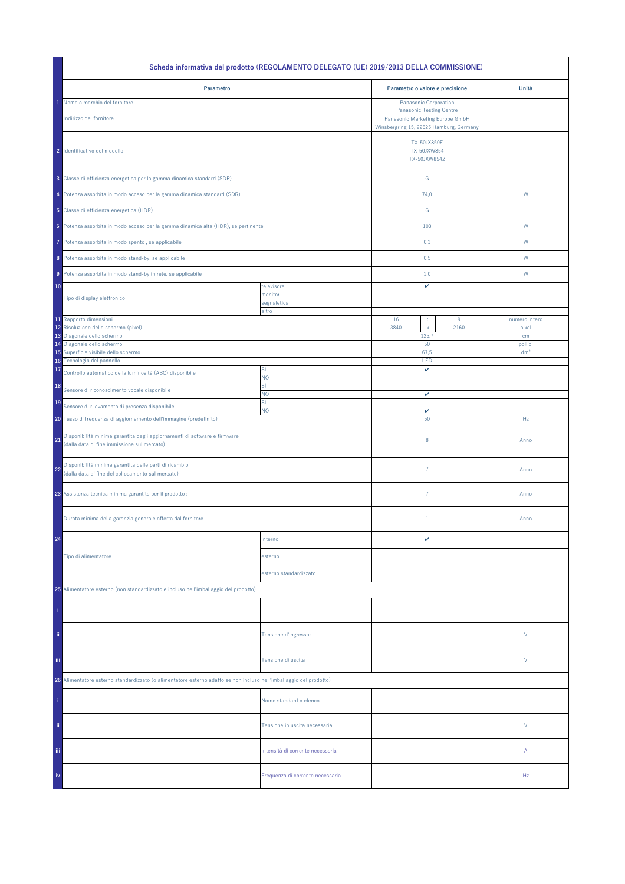| Scheda informativa del prodotto (REGOLAMENTO DELEGATO (UE) 2019/2013 DELLA COMMISSIONE)                             |                                  |                                                                    |      |                 |  |  |
|---------------------------------------------------------------------------------------------------------------------|----------------------------------|--------------------------------------------------------------------|------|-----------------|--|--|
| Parametro                                                                                                           |                                  | Parametro o valore e precisione                                    |      | Unità           |  |  |
| Nome o marchio del fornitore                                                                                        |                                  | Panasonic Corporation                                              |      |                 |  |  |
| Indirizzo del fornitore                                                                                             |                                  | <b>Panasonic Testing Centre</b><br>Panasonic Marketing Europe GmbH |      |                 |  |  |
|                                                                                                                     |                                  | Winsbergring 15, 22525 Hamburg, Germany                            |      |                 |  |  |
|                                                                                                                     |                                  |                                                                    |      |                 |  |  |
| 2 Identificativo del modello                                                                                        |                                  | <b>TX-50JX850E</b><br>TX-50JXW854                                  |      |                 |  |  |
|                                                                                                                     |                                  | TX-50JXW854Z                                                       |      |                 |  |  |
|                                                                                                                     |                                  |                                                                    |      |                 |  |  |
| 3 Classe di efficienza energetica per la gamma dinamica standard (SDR)                                              |                                  | G                                                                  |      |                 |  |  |
| 4 Potenza assorbita in modo acceso per la gamma dinamica standard (SDR)                                             |                                  | 74,0                                                               |      | W               |  |  |
| 5 Classe di efficienza energetica (HDR)                                                                             |                                  | G                                                                  |      |                 |  |  |
| 6 Potenza assorbita in modo acceso per la gamma dinamica alta (HDR), se pertinente                                  |                                  | 103                                                                |      | W               |  |  |
|                                                                                                                     |                                  |                                                                    |      |                 |  |  |
| Potenza assorbita in modo spento, se applicabile<br>7.                                                              |                                  | 0,3                                                                |      | W               |  |  |
| 8 Potenza assorbita in modo stand-by, se applicabile                                                                |                                  | 0,5                                                                |      | W               |  |  |
| 9 Potenza assorbita in modo stand-by in rete, se applicabile                                                        |                                  | 1,0                                                                |      | W               |  |  |
| 10                                                                                                                  | televisore                       | v                                                                  |      |                 |  |  |
| Tipo di display elettronico                                                                                         | monitor                          |                                                                    |      |                 |  |  |
|                                                                                                                     | segnaletica                      |                                                                    |      |                 |  |  |
| 11 Rapporto dimensioni                                                                                              | altro                            | 16<br>÷                                                            | 9    | numero intero   |  |  |
| 12 Risoluzione dello schermo (pixel)                                                                                |                                  | 3840<br>$\mathsf{x}$                                               | 2160 | pixel           |  |  |
| 13 Diagonale dello schermo<br>14 Diagonale dello schermo                                                            |                                  | 125,7<br>50                                                        |      | cm<br>pollici   |  |  |
| 15 Superficie visibile dello schermo                                                                                |                                  | 67,5                                                               |      | dm <sup>2</sup> |  |  |
| Tecnologia del pannello<br>16                                                                                       |                                  | LED                                                                |      |                 |  |  |
| 17<br>Controllo automatico della luminosità (ABC) disponibile                                                       | sì<br>NO.                        | v                                                                  |      |                 |  |  |
| 18<br>Sensore di riconoscimento vocale disponibile                                                                  | sì                               |                                                                    |      |                 |  |  |
| 19                                                                                                                  | <b>NO</b><br>sì                  | v                                                                  |      |                 |  |  |
| Sensore di rilevamento di presenza disponibile                                                                      | NO.                              | v                                                                  |      |                 |  |  |
| 20 Tasso di frequenza di aggiornamento dell'immagine (predefinito)                                                  |                                  | 50                                                                 |      | Hz              |  |  |
| Disponibilità minima garantita degli aggiornamenti di software e firmware<br>21                                     |                                  | 8                                                                  |      | Anno            |  |  |
| (dalla data di fine immissione sul mercato)                                                                         |                                  |                                                                    |      |                 |  |  |
| Disponibilità minima garantita delle parti di ricambio                                                              |                                  |                                                                    |      |                 |  |  |
| 22<br>(dalla data di fine del collocamento sul mercato)                                                             |                                  | $\overline{7}$                                                     |      | Anno            |  |  |
|                                                                                                                     |                                  |                                                                    |      |                 |  |  |
| 23 Assistenza tecnica minima garantita per il prodotto :                                                            |                                  | $\overline{7}$                                                     |      | Anno            |  |  |
|                                                                                                                     |                                  |                                                                    |      |                 |  |  |
| Durata minima della garanzia generale offerta dal fornitore                                                         |                                  | $1\,$                                                              |      | Anno            |  |  |
|                                                                                                                     |                                  |                                                                    |      |                 |  |  |
| 24                                                                                                                  | Interno                          | v                                                                  |      |                 |  |  |
| Tipo di alimentatore                                                                                                | esterno                          |                                                                    |      |                 |  |  |
|                                                                                                                     | esterno standardizzato           |                                                                    |      |                 |  |  |
|                                                                                                                     |                                  |                                                                    |      |                 |  |  |
| 25 Alimentatore esterno (non standardizzato e incluso nell'imballaggio del prodotto)                                |                                  |                                                                    |      |                 |  |  |
|                                                                                                                     |                                  |                                                                    |      |                 |  |  |
|                                                                                                                     |                                  |                                                                    |      |                 |  |  |
| ii.                                                                                                                 | Tensione d'ingresso:             |                                                                    |      | V               |  |  |
|                                                                                                                     |                                  |                                                                    |      |                 |  |  |
|                                                                                                                     |                                  |                                                                    |      | V               |  |  |
| Ϊij<br>Tensione di uscita                                                                                           |                                  |                                                                    |      |                 |  |  |
| 26 Alimentatore esterno standardizzato (o alimentatore esterno adatto se non incluso nell'imballaggio del prodotto) |                                  |                                                                    |      |                 |  |  |
|                                                                                                                     |                                  |                                                                    |      |                 |  |  |
|                                                                                                                     | Nome standard o elenco           |                                                                    |      |                 |  |  |
|                                                                                                                     |                                  |                                                                    |      |                 |  |  |
| ii.                                                                                                                 | Tensione in uscita necessaria    |                                                                    |      | V               |  |  |
|                                                                                                                     |                                  |                                                                    |      |                 |  |  |
| iii                                                                                                                 | Intensità di corrente necessaria |                                                                    |      | Α               |  |  |
|                                                                                                                     |                                  |                                                                    |      |                 |  |  |
| iv                                                                                                                  | Frequenza di corrente necessaria |                                                                    |      | Hz              |  |  |
|                                                                                                                     |                                  |                                                                    |      |                 |  |  |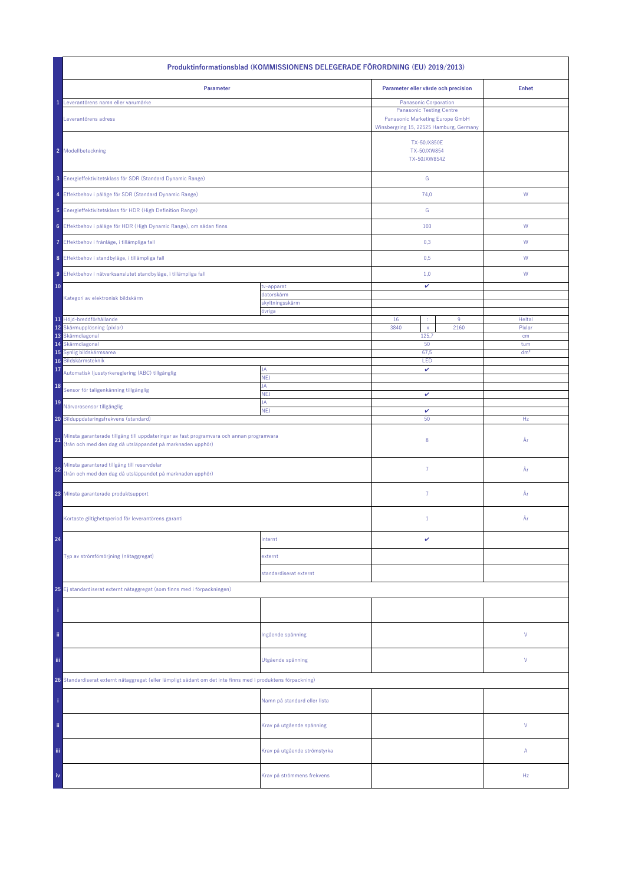| Produktinformationsblad (KOMMISSIONENS DELEGERADE FÖRORDNING (EU) 2019/2013)                                                                                 |                               |                                                                                                               |               |                 |  |  |
|--------------------------------------------------------------------------------------------------------------------------------------------------------------|-------------------------------|---------------------------------------------------------------------------------------------------------------|---------------|-----------------|--|--|
| Parameter                                                                                                                                                    |                               | Parameter eller värde och precision                                                                           |               | <b>Enhet</b>    |  |  |
| Leverantörens namn eller varumärke                                                                                                                           |                               | <b>Panasonic Corporation</b>                                                                                  |               |                 |  |  |
| Leverantörens adress                                                                                                                                         |                               | <b>Panasonic Testing Centre</b><br>Panasonic Marketing Europe GmbH<br>Winsbergring 15, 22525 Hamburg, Germany |               |                 |  |  |
| 2 Modellbeteckning                                                                                                                                           |                               | <b>TX-50JX850E</b><br>TX-50JXW854<br>TX-50JXW854Z                                                             |               |                 |  |  |
| 3 Energieffektivitetsklass för SDR (Standard Dynamic Range)                                                                                                  |                               |                                                                                                               | ${\mathsf G}$ |                 |  |  |
| 4 Effektbehov i påläge för SDR (Standard Dynamic Range)                                                                                                      |                               | 74,0                                                                                                          |               | ${\sf W}$       |  |  |
| 5 Energieffektivitetsklass för HDR (High Definition Range)                                                                                                   |                               | ${\mathbb G}$                                                                                                 |               |                 |  |  |
| 6 Effektbehov i påläge för HDR (High Dynamic Range), om sådan finns                                                                                          |                               | 103                                                                                                           |               | ${\mathsf W}$   |  |  |
| Effektbehov i frånläge, i tillämpliga fall<br>7                                                                                                              |                               | 0,3                                                                                                           |               | W               |  |  |
| 8 Effektbehov i standbyläge, i tillämpliga fall                                                                                                              |                               | 0,5                                                                                                           |               | W               |  |  |
| 9 Effektbehov i nätverksanslutet standbyläge, i tillämpliga fall                                                                                             |                               | 1,0                                                                                                           |               | W               |  |  |
| 10                                                                                                                                                           | tv-apparat                    | v                                                                                                             |               |                 |  |  |
| Kategori av elektronisk bildskärm                                                                                                                            | datorskärm<br>skyltningsskärm |                                                                                                               |               |                 |  |  |
|                                                                                                                                                              | övriga                        |                                                                                                               |               |                 |  |  |
| 11 Höjd-breddförhållande                                                                                                                                     |                               | 16<br>÷                                                                                                       | 9             | Heltal          |  |  |
| 12 Skärmupplösning (pixlar)<br>13 Skärmdiagonal                                                                                                              |                               | 3840<br>$\mathsf{x}$<br>125,7                                                                                 | 2160          | Pixlar<br>cm    |  |  |
| 14 Skärmdiagonal                                                                                                                                             |                               | 50                                                                                                            |               | tum             |  |  |
| Synlig bildskärmsarea<br>15                                                                                                                                  |                               | 67,5                                                                                                          |               | dm <sup>2</sup> |  |  |
| Bildskärmsteknik<br>16                                                                                                                                       |                               | LED                                                                                                           |               |                 |  |  |
| 17<br>Automatisk ljusstyrkereglering (ABC) tillgänglig                                                                                                       | JA<br><b>NEJ</b>              | v                                                                                                             |               |                 |  |  |
| 18<br>Sensor för taligenkänning tillgänglig                                                                                                                  | JA<br>NEJ                     | v                                                                                                             |               |                 |  |  |
| 19<br>Närvarosensor tillgänglig                                                                                                                              | JA<br><b>NEJ</b>              | v                                                                                                             |               |                 |  |  |
| 20 Bilduppdateringsfrekvens (standard)                                                                                                                       |                               | 50                                                                                                            |               | Hz              |  |  |
| Minsta garanterade tillgång till uppdateringar av fast programvara och annan programvara<br>21<br>(från och med den dag då utsläppandet på marknaden upphör) |                               | 8                                                                                                             |               | År              |  |  |
| Minsta garanterad tillgång till reservdelar<br>22<br>(från och med den dag då utsläppandet på marknaden upphör)                                              |                               | 7                                                                                                             |               | År              |  |  |
| 23 Minsta garanterade produktsupport                                                                                                                         |                               | $\overline{7}$                                                                                                |               | År              |  |  |
| Kortaste giltighetsperiod för leverantörens garanti                                                                                                          |                               | $1\,$                                                                                                         |               | År              |  |  |
| 24                                                                                                                                                           | internt                       | v                                                                                                             |               |                 |  |  |
| Typ av strömförsörjning (nätaggregat)                                                                                                                        | externt                       |                                                                                                               |               |                 |  |  |
|                                                                                                                                                              | standardiserat externt        |                                                                                                               |               |                 |  |  |
| 25 Ej standardiserat externt nätaggregat (som finns med i förpackningen)                                                                                     |                               |                                                                                                               |               |                 |  |  |
|                                                                                                                                                              |                               |                                                                                                               |               |                 |  |  |
| ii.                                                                                                                                                          | Ingående spänning             |                                                                                                               |               | V               |  |  |
| iii                                                                                                                                                          | Utgående spänning             |                                                                                                               |               | V               |  |  |
| 26 Standardiserat externt nätaggregat (eller lämpligt sådant om det inte finns med i produktens förpackning)                                                 |                               |                                                                                                               |               |                 |  |  |
|                                                                                                                                                              | Namn på standard eller lista  |                                                                                                               |               |                 |  |  |
| ii.                                                                                                                                                          | Krav på utgående spänning     |                                                                                                               |               | V               |  |  |
| Ϊij                                                                                                                                                          | Krav på utgående strömstyrka  |                                                                                                               |               | Α               |  |  |
| iv                                                                                                                                                           | Krav på strömmens frekvens    |                                                                                                               |               | Hz              |  |  |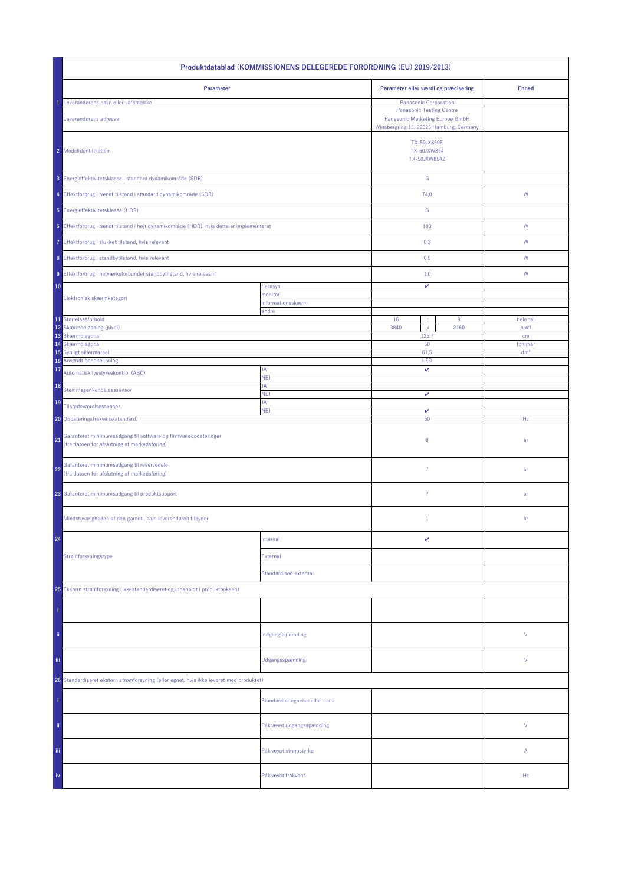| Produktdatablad (KOMMISSIONENS DELEGEREDE FORORDNING (EU) 2019/2013)                                                 |                                 |                                                                                                               |                   |  |  |  |
|----------------------------------------------------------------------------------------------------------------------|---------------------------------|---------------------------------------------------------------------------------------------------------------|-------------------|--|--|--|
| Parameter                                                                                                            |                                 | Parameter eller værdi og præcisering                                                                          | <b>Enhed</b>      |  |  |  |
| Leverandørens navn eller varemærke                                                                                   |                                 | Panasonic Corporation                                                                                         |                   |  |  |  |
| Leverandørens adresse                                                                                                |                                 | <b>Panasonic Testing Centre</b><br>Panasonic Marketing Europe GmbH<br>Winsbergring 15, 22525 Hamburg, Germany |                   |  |  |  |
| 2 Modelidentifikation                                                                                                |                                 | <b>TX-50JX850E</b><br>TX-50JXW854<br>TX-50JXW854Z                                                             |                   |  |  |  |
| 3 Energieffektivitetsklasse i standard dynamikområde (SDR)                                                           |                                 | ${\mathbb G}$                                                                                                 |                   |  |  |  |
| 4 Effektforbrug i tændt tilstand i standard dynamikområde (SDR)                                                      |                                 | 74,0                                                                                                          | W                 |  |  |  |
| 5 Energieffektivitetsklasse (HDR)                                                                                    |                                 | ${\mathbb G}$                                                                                                 |                   |  |  |  |
| 6 Effektforbrug i tændt tilstand i højt dynamikområde (HDR), hvis dette er implementeret                             |                                 | 103                                                                                                           | ${\sf W}$         |  |  |  |
| 7 Effektforbrug i slukket tilstand, hvis relevant                                                                    |                                 | 0,3                                                                                                           | W                 |  |  |  |
| 8 Effektforbrug i standbytilstand, hvis relevant                                                                     |                                 | 0,5                                                                                                           | W                 |  |  |  |
| 9 Effektforbrug i netværksforbundet standbytilstand, hvis relevant                                                   |                                 | 1,0                                                                                                           | W                 |  |  |  |
| 10                                                                                                                   | fjernsyn                        | $\checkmark$                                                                                                  |                   |  |  |  |
| Elektronisk skærmkategori                                                                                            | monitor<br>informationsskærm    |                                                                                                               |                   |  |  |  |
|                                                                                                                      | andre                           |                                                                                                               |                   |  |  |  |
| 11 Størrelsesforhold<br>12<br>Skærmopløsning (pixel)                                                                 |                                 | 16<br>$9\,$<br>3840<br>2160                                                                                   | hele tal<br>pixel |  |  |  |
| 13 Skærmdiagonal                                                                                                     |                                 | $\mathsf X$<br>125,7                                                                                          | cm                |  |  |  |
| Skærmdiagonal<br>14                                                                                                  |                                 | 50                                                                                                            | tommer            |  |  |  |
| 15<br>Synligt skærmareal<br>16 Anvendt panelteknologi                                                                |                                 | 67,5<br>LED                                                                                                   | dm <sup>2</sup>   |  |  |  |
| 17<br>Automatisk lysstyrkekontrol (ABC)                                                                              | JA<br>NEJ                       | v                                                                                                             |                   |  |  |  |
| 18<br>Stemmegenkendelsessensor                                                                                       | JA                              |                                                                                                               |                   |  |  |  |
| 19<br>Tilstedeværelsessensor                                                                                         | <b>NEJ</b><br>JA                | $\checkmark$                                                                                                  |                   |  |  |  |
| 20 Opdateringsfrekvens (standard)                                                                                    | <b>NEJ</b>                      | v<br>50                                                                                                       | Hz                |  |  |  |
| Garanteret minimumsadgang til software og firmwareopdateringer<br>21<br>(fra datoen for afslutning af markedsføring) |                                 | 8                                                                                                             | år                |  |  |  |
| Garanteret minimumsadgang til reservedele<br>22<br>(fra datoen for afslutning af markedsføring)                      |                                 | $\overline{7}$                                                                                                | år                |  |  |  |
| 23 Garanteret minimumsadgang til produktsupport                                                                      |                                 | 7                                                                                                             | år                |  |  |  |
| Mindstevarigheden af den garanti, som leverandøren tilbyder                                                          |                                 | $\mathbf{1}$                                                                                                  | år                |  |  |  |
| 24                                                                                                                   | Internal                        | v                                                                                                             |                   |  |  |  |
| Strømforsyningstype                                                                                                  | External                        |                                                                                                               |                   |  |  |  |
|                                                                                                                      | <b>Standardised external</b>    |                                                                                                               |                   |  |  |  |
| 25 Ekstern strømforsyning (ikkestandardiseret og indeholdt i produktboksen)                                          |                                 |                                                                                                               |                   |  |  |  |
|                                                                                                                      |                                 |                                                                                                               |                   |  |  |  |
| ii.                                                                                                                  | Indgangsspænding                |                                                                                                               | V                 |  |  |  |
| Ϊij                                                                                                                  | Udgangsspænding                 |                                                                                                               | V                 |  |  |  |
| 26 Standardiseret ekstern strømforsyning (eller egnet, hvis ikke leveret med produktet)                              |                                 |                                                                                                               |                   |  |  |  |
|                                                                                                                      | Standardbetegnelse eller -liste |                                                                                                               |                   |  |  |  |
| ii.                                                                                                                  | Påkrævet udgangsspænding        |                                                                                                               | V                 |  |  |  |
| iii.                                                                                                                 | Påkrævet strømstyrke            |                                                                                                               | Α                 |  |  |  |
| iv                                                                                                                   | Påkrævet frekvens               |                                                                                                               | Hz                |  |  |  |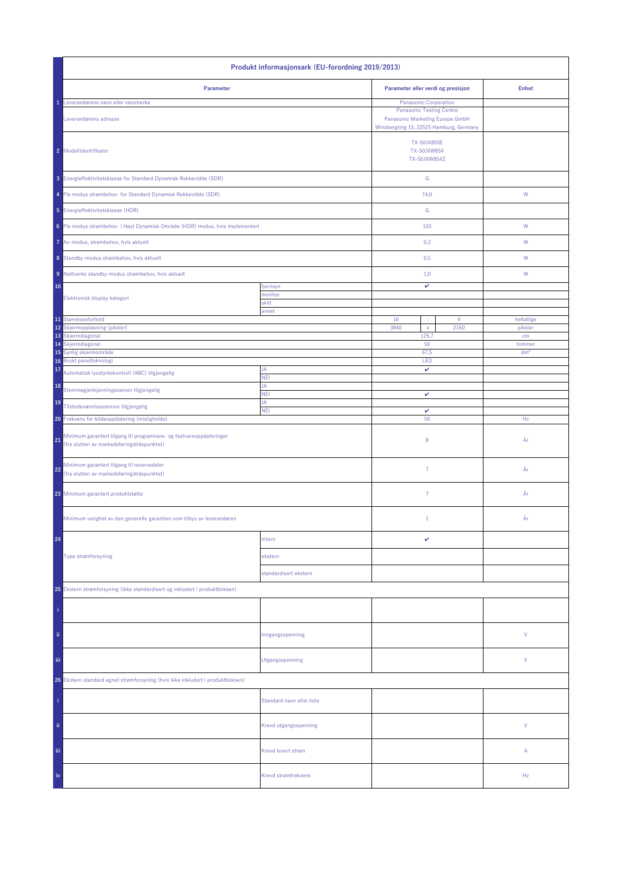| Produkt informasjonsark (EU-forordning 2019/2013)                                                                       |                           |                                                                                                               |           |                       |  |
|-------------------------------------------------------------------------------------------------------------------------|---------------------------|---------------------------------------------------------------------------------------------------------------|-----------|-----------------------|--|
| Parameter                                                                                                               |                           | Parameter eller verdi og presisjon                                                                            |           | <b>Enhet</b>          |  |
| Leverandørens navn eller varemerke                                                                                      |                           | <b>Panasonic Corporation</b>                                                                                  |           |                       |  |
| Leverandørens adresse                                                                                                   |                           | <b>Panasonic Testing Centre</b><br>Panasonic Marketing Europe GmbH<br>Winsbergring 15, 22525 Hamburg, Germany |           |                       |  |
| 2 Modellidentifikator                                                                                                   |                           | <b>TX-50JX850E</b><br>TX-50JXW854<br>TX-50JXW854Z                                                             |           |                       |  |
| 3 Energieffektivitetsklasse for Standard Dynamisk Rekkevidde (SDR)                                                      |                           | ${\mathbb G}$                                                                                                 |           |                       |  |
| 4 På-modus strømbehov for Standard Dynamisk Rekkevidde (SDR)                                                            |                           | 74,0                                                                                                          |           | ${\sf W}$             |  |
| 5 Energieffektivitetsklasse (HDR)                                                                                       |                           | ${\mathsf G}$                                                                                                 |           |                       |  |
| 6 På-modus strømbehov i Høyt Dynamisk Område (HDR) modus, hvis implementert                                             |                           | 103                                                                                                           |           | ${\mathsf W}$         |  |
| 7 Av-modus, strømbehov, hvis aktuelt                                                                                    |                           | 0,3                                                                                                           |           | W                     |  |
| 8 Standby-modus strømbehov, hvis aktuelt                                                                                |                           | 0,5                                                                                                           |           | W                     |  |
| 9 Nettverks standby-modus strømbehov, hvis aktuelt                                                                      |                           | 1,0                                                                                                           |           | W                     |  |
| 10                                                                                                                      | fjernsyn                  | v                                                                                                             |           |                       |  |
| Elektronisk display kategori                                                                                            | monitor<br>skilt          |                                                                                                               |           |                       |  |
|                                                                                                                         | annet                     |                                                                                                               |           |                       |  |
| 11 Størrelsesforhold<br>12 Skjermoppløsning (piksler)                                                                   |                           | 16<br>÷<br>3840<br>$\mathsf X$                                                                                | 9<br>2160 | heltallige<br>piksler |  |
| 13 Skjermdiagonal                                                                                                       |                           | 125,7                                                                                                         |           | cm                    |  |
| 14 Skjermdiagonal                                                                                                       |                           | 50                                                                                                            |           | tommer                |  |
| 15 Synlig skjermområde<br>Brukt panelteknologi                                                                          |                           | 67,5<br>LED                                                                                                   |           | dm <sup>2</sup>       |  |
| 16<br>17                                                                                                                | JA                        | v                                                                                                             |           |                       |  |
| Automatisk lysstyrkekontroll (ABC) tilgjengelig<br>18                                                                   | <b>NEI</b><br>JA          |                                                                                                               |           |                       |  |
| Stemmegjenkjenningssensor tilgjengelig                                                                                  | <b>NEI</b><br>JA          | v                                                                                                             |           |                       |  |
| 19<br>Tilstedeværelsessensor tilgjengelig                                                                               | <b>NEI</b>                | $\checkmark$                                                                                                  |           |                       |  |
| 20 Frekvens for bildeoppdatering (misligholde)                                                                          |                           | 50                                                                                                            |           | Hz                    |  |
| Minimum garantert tilgang til programvare- og fastvareoppdateringer<br>21<br>(fra slutten av markedsføringstidspunktet) |                           | 8                                                                                                             |           | År                    |  |
| Minimum garantert tilgang til reservedeler<br>22<br>(fra slutten av markedsføringstidspunktet)                          |                           | $\overline{7}$                                                                                                |           | År                    |  |
| 23 Minimum garantert produktstøtte                                                                                      |                           | 7                                                                                                             |           | År                    |  |
| Minimum varighet av den generelle garantien som tilbys av leverandøren                                                  |                           | $1\,$                                                                                                         |           | År                    |  |
| 24                                                                                                                      | Intern                    | v                                                                                                             |           |                       |  |
| Type strømforsyning                                                                                                     | ekstern                   |                                                                                                               |           |                       |  |
|                                                                                                                         | standardisert ekstern     |                                                                                                               |           |                       |  |
| 25 Ekstern strømforsyning (ikke standardisert og inkludert i produktboksen)                                             |                           |                                                                                                               |           |                       |  |
|                                                                                                                         |                           |                                                                                                               |           |                       |  |
|                                                                                                                         |                           |                                                                                                               |           |                       |  |
| ii.                                                                                                                     | Inngangsspenning          |                                                                                                               |           | V                     |  |
| iii.                                                                                                                    | Utgangsspenning           |                                                                                                               |           | V                     |  |
| 26 Ekstern standard egnet strømforsyning (hvis ikke inkludert i produktboksen)                                          |                           |                                                                                                               |           |                       |  |
|                                                                                                                         | Standard navn eller liste |                                                                                                               |           |                       |  |
| ii.                                                                                                                     | Krevd utgangsspenning     |                                                                                                               |           | V                     |  |
| Ϊij                                                                                                                     | Krevd levert strøm        |                                                                                                               |           | Α                     |  |
| iv                                                                                                                      | Krevd strømfrekvens       |                                                                                                               |           | Hz                    |  |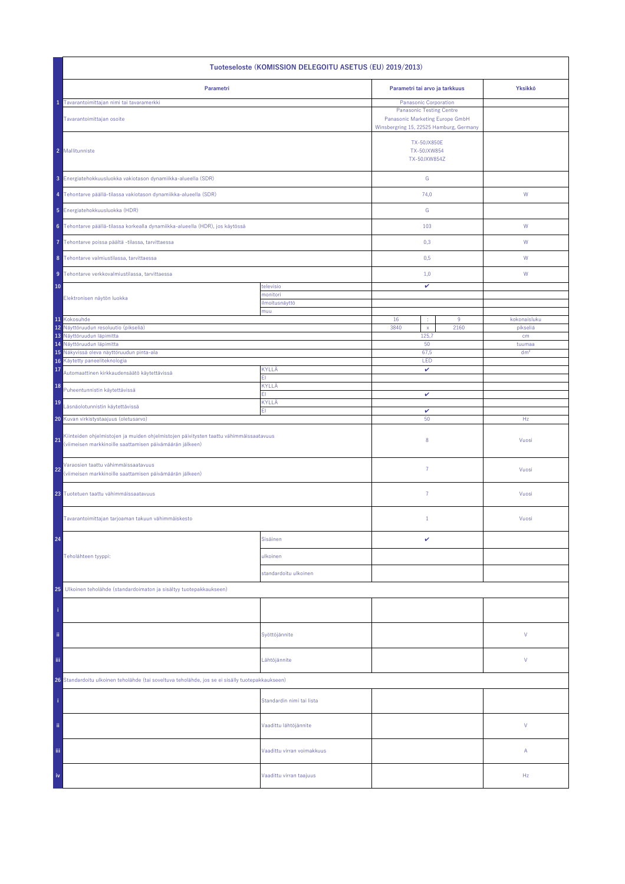| Tuoteseloste (KOMISSION DELEGOITU ASETUS (EU) 2019/2013)                                                                                                 |                            |                                                                                                                                               |  |                                          |  |  |
|----------------------------------------------------------------------------------------------------------------------------------------------------------|----------------------------|-----------------------------------------------------------------------------------------------------------------------------------------------|--|------------------------------------------|--|--|
| Parametri                                                                                                                                                |                            | Parametri tai arvo ja tarkkuus                                                                                                                |  | Yksikkö                                  |  |  |
| Tavarantoimittajan nimi tai tavaramerkki<br>Tavarantoimittajan osoite                                                                                    |                            | <b>Panasonic Corporation</b><br><b>Panasonic Testing Centre</b><br>Panasonic Marketing Europe GmbH<br>Winsbergring 15, 22525 Hamburg, Germany |  |                                          |  |  |
| 2 Mallitunniste                                                                                                                                          |                            | <b>TX-50JX850E</b><br>TX-50JXW854<br>TX-50JXW854Z                                                                                             |  |                                          |  |  |
| 3 Energiatehokkuusluokka vakiotason dynamiikka-alueella (SDR)                                                                                            |                            | ${\mathsf G}$                                                                                                                                 |  |                                          |  |  |
| 4 Tehontarve päällä-tilassa vakiotason dynamiikka-alueella (SDR)                                                                                         |                            | 74,0                                                                                                                                          |  | W                                        |  |  |
| 5 Energiatehokkuusluokka (HDR)                                                                                                                           |                            | ${\mathsf G}$                                                                                                                                 |  |                                          |  |  |
| 6 Tehontarve päällä-tilassa korkealla dynamiikka-alueella (HDR), jos käytössä                                                                            |                            | 103                                                                                                                                           |  | W                                        |  |  |
| Tehontarve poissa päältä -tilassa, tarvittaessa                                                                                                          |                            | 0,3                                                                                                                                           |  | W                                        |  |  |
| 8 Tehontarve valmiustilassa, tarvittaessa                                                                                                                |                            | 0,5                                                                                                                                           |  | W                                        |  |  |
| 9 Tehontarve verkkovalmiustilassa, tarvittaessa                                                                                                          |                            | 1,0                                                                                                                                           |  | W                                        |  |  |
| 10                                                                                                                                                       | televisio<br>monitori      | v                                                                                                                                             |  |                                          |  |  |
| Elektronisen näytön luokka                                                                                                                               | ilmoitusnäyttö<br>muu      |                                                                                                                                               |  |                                          |  |  |
| 11 Kokosuhde<br>12 Näyttöruudun resoluutio (pikseliä)<br>13 Näyttöruudun läpimitta<br>14 Näyttöruudun läpimitta                                          |                            | 16<br>9<br>3840<br>2160<br>$\mathsf{x}$<br>125,7<br>50                                                                                        |  | kokonaisluku<br>pikseliä<br>cm<br>tuumaa |  |  |
| Näkyvissä oleva näyttöruudun pinta-ala<br>15<br>16 Käytetty paneeliteknologia                                                                            |                            | 67,5<br>LED                                                                                                                                   |  | dm <sup>2</sup>                          |  |  |
| 17<br>Automaattinen kirkkaudensäätö käytettävissä                                                                                                        | KYLLÄ<br>FI.               | v                                                                                                                                             |  |                                          |  |  |
| 18<br>Puheentunnistin käytettävissä                                                                                                                      | KYLLÄ<br>FI.               | v                                                                                                                                             |  |                                          |  |  |
| 19<br>Läsnäolotunnistin käytettävissä                                                                                                                    | KYLLÄ<br>EI                | v                                                                                                                                             |  |                                          |  |  |
| 20 Kuvan virkistystaajuus (oletusarvo)                                                                                                                   |                            | 50                                                                                                                                            |  | Hz                                       |  |  |
| Kiinteiden ohjelmistojen ja muiden ohjelmistojen päivitysten taattu vähimmäissaatavuus<br>21<br>(viimeisen markkinoille saattamisen päivämäärän jälkeen) |                            | 8                                                                                                                                             |  | Vuosi                                    |  |  |
| Varaosien taattu vähimmäissaatavuus<br>22<br>(viimeisen markkinoille saattamisen päivämäärän jälkeen)                                                    |                            | $\overline{7}$                                                                                                                                |  | Vuosi                                    |  |  |
| 23 Tuotetuen taattu vähimmäissaatavuus                                                                                                                   |                            | 7                                                                                                                                             |  | Vuosi                                    |  |  |
| Tavarantoimittajan tarjoaman takuun vähimmäiskesto                                                                                                       |                            | $\mathbf{1}$                                                                                                                                  |  | Vuosi                                    |  |  |
| 24                                                                                                                                                       | Sisäinen                   | v                                                                                                                                             |  |                                          |  |  |
| Teholähteen tyyppi:                                                                                                                                      | ulkoinen                   |                                                                                                                                               |  |                                          |  |  |
|                                                                                                                                                          | standardoitu ulkoinen      |                                                                                                                                               |  |                                          |  |  |
| 25 Ulkoinen teholähde (standardoimaton ja sisältyy tuotepakkaukseen)                                                                                     |                            |                                                                                                                                               |  |                                          |  |  |
|                                                                                                                                                          |                            |                                                                                                                                               |  |                                          |  |  |
| ii.                                                                                                                                                      | Syöttöjännite              |                                                                                                                                               |  | ٧                                        |  |  |
| iij                                                                                                                                                      | Lähtöjännite               |                                                                                                                                               |  | ٧                                        |  |  |
| 26 Standardoitu ulkoinen teholähde (tai soveltuva teholähde, jos se ei sisälly tuotepakkaukseen)                                                         |                            |                                                                                                                                               |  |                                          |  |  |
|                                                                                                                                                          | Standardin nimi tai lista  |                                                                                                                                               |  |                                          |  |  |
| ii.                                                                                                                                                      | Vaadittu lähtöjännite      |                                                                                                                                               |  | V                                        |  |  |
| Ϊij                                                                                                                                                      | Vaadittu virran voimakkuus |                                                                                                                                               |  | Α                                        |  |  |
| iv                                                                                                                                                       | Vaadittu virran taajuus    |                                                                                                                                               |  | Hz                                       |  |  |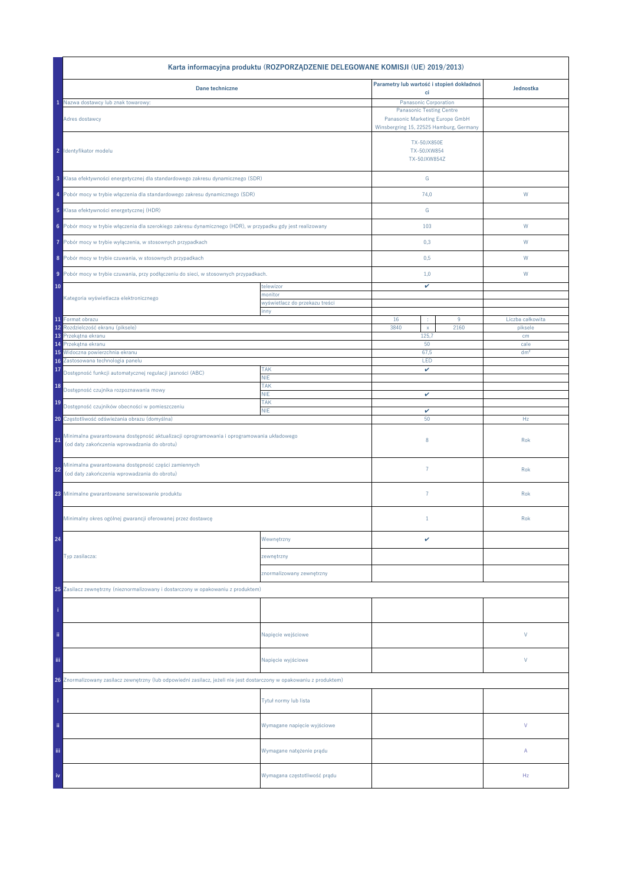| Karta informacyjna produktu (ROZPORZĄDZENIE DELEGOWANE KOMISJI (UE) 2019/2013)                                                            |                                           |                                                                            |           |                  |  |  |
|-------------------------------------------------------------------------------------------------------------------------------------------|-------------------------------------------|----------------------------------------------------------------------------|-----------|------------------|--|--|
| Dane techniczne                                                                                                                           | Parametry lub wartość i stopień dokładnoś |                                                                            | Jednostka |                  |  |  |
| Nazwa dostawcy lub znak towarowy:                                                                                                         |                                           | ci<br>Panasonic Corporation                                                |           |                  |  |  |
|                                                                                                                                           |                                           | <b>Panasonic Testing Centre</b>                                            |           |                  |  |  |
| Adres dostawcy                                                                                                                            |                                           | Panasonic Marketing Europe GmbH<br>Winsbergring 15, 22525 Hamburg, Germany |           |                  |  |  |
| 2 Identyfikator modelu                                                                                                                    |                                           | TX-50JX850E<br>TX-50JXW854<br>TX-50JXW854Z                                 |           |                  |  |  |
| 3 Klasa efektywności energetycznej dla standardowego zakresu dynamicznego (SDR)                                                           |                                           | G                                                                          |           |                  |  |  |
| 4 Pobór mocy w trybie włączenia dla standardowego zakresu dynamicznego (SDR)                                                              |                                           | 74,0                                                                       |           | W                |  |  |
| 5 Klasa efektywności energetycznej (HDR)                                                                                                  |                                           | G                                                                          |           |                  |  |  |
| 6 Pobór mocy w trybie włączenia dla szerokiego zakresu dynamicznego (HDR), w przypadku gdy jest realizowany                               |                                           | 103                                                                        |           | W                |  |  |
| Pobór mocy w trybie wyłączenia, w stosownych przypadkach<br>7                                                                             |                                           | 0,3                                                                        |           | W                |  |  |
| 8 Pobór mocy w trybie czuwania, w stosownych przypadkach                                                                                  |                                           | 0,5                                                                        |           | W                |  |  |
| 9 Pobór mocy w trybie czuwania, przy podłączeniu do sieci, w stosownych przypadkach.                                                      |                                           | 1,0                                                                        |           | W                |  |  |
| 10                                                                                                                                        | telewizor                                 | v                                                                          |           |                  |  |  |
| Kategoria wyświetlacza elektronicznego                                                                                                    | monitor<br>wyświetlacz do przekazu treści |                                                                            |           |                  |  |  |
|                                                                                                                                           | inny                                      |                                                                            |           |                  |  |  |
| 11 Format obrazu                                                                                                                          |                                           | 16<br>÷                                                                    | 9         | Liczba całkowita |  |  |
| 12<br>Rozdzielczość ekranu (piksele)                                                                                                      |                                           | 3840<br>$\bar{\mathbf{x}}$                                                 | 2160      | piksele          |  |  |
| 13 Przekątna ekranu<br>Przekątna ekranu<br>14                                                                                             |                                           | 125,7<br>50                                                                |           | cm<br>cale       |  |  |
| Widoczna powierzchnia ekranu<br>15                                                                                                        |                                           | 67,5                                                                       |           | dm <sup>2</sup>  |  |  |
| Zastosowana technologia panelu<br>16                                                                                                      |                                           | LED                                                                        |           |                  |  |  |
| 17<br>Dostępność funkcji automatycznej regulacji jasności (ABC)                                                                           | <b>TAK</b>                                | v                                                                          |           |                  |  |  |
|                                                                                                                                           | <b>NIE</b><br>TAK                         |                                                                            |           |                  |  |  |
| 18<br>Dostępność czujnika rozpoznawania mowy                                                                                              | <b>NIE</b>                                | v                                                                          |           |                  |  |  |
| 19                                                                                                                                        | <b>TAK</b>                                |                                                                            |           |                  |  |  |
| Dostępność czujników obecności w pomieszczeniu                                                                                            | <b>NIE</b>                                | $\checkmark$                                                               |           |                  |  |  |
| 20 Częstotliwość odświeżania obrazu (domyślna)                                                                                            |                                           | 50                                                                         |           | Hz               |  |  |
| Minimalna gwarantowana dostępność aktualizacji oprogramowania i oprogramowania układowego<br>(od daty zakończenia wprowadzania do obrotu) |                                           | 8                                                                          |           | Rok              |  |  |
| Minimalna gwarantowana dostępność części zamiennych<br>22<br>(od daty zakończenia wprowadzania do obrotu)                                 |                                           | $\overline{7}$                                                             |           | Rok              |  |  |
| 23 Minimalne gwarantowane serwisowanie produktu                                                                                           |                                           | $\overline{7}$                                                             |           | Rok              |  |  |
| Minimalny okres ogólnej gwarancji oferowanej przez dostawcę                                                                               |                                           | $1\,$                                                                      |           | Rok              |  |  |
| 24                                                                                                                                        | Wewnętrzny                                | v                                                                          |           |                  |  |  |
| Typ zasilacza:                                                                                                                            | zewnętrzny                                |                                                                            |           |                  |  |  |
|                                                                                                                                           | znormalizowany zewnętrzny                 |                                                                            |           |                  |  |  |
| 25 Zasilacz zewnętrzny (nieznormalizowany i dostarczony w opakowaniu z produktem)                                                         |                                           |                                                                            |           |                  |  |  |
|                                                                                                                                           |                                           |                                                                            |           |                  |  |  |
| ii.                                                                                                                                       | Napięcie wejściowe                        |                                                                            |           | V                |  |  |
| iii.                                                                                                                                      | Napięcie wyjściowe                        |                                                                            |           | V                |  |  |
| 26 Znormalizowany zasilacz zewnętrzny (lub odpowiedni zasilacz, jeżeli nie jest dostarczony w opakowaniu z produktem)                     |                                           |                                                                            |           |                  |  |  |
|                                                                                                                                           | Tytuł normy lub lista                     |                                                                            |           |                  |  |  |
| ii.                                                                                                                                       | Wymagane napięcie wyjściowe               |                                                                            |           | V                |  |  |
| Ϊij                                                                                                                                       | Wymagane natężenie prądu                  |                                                                            |           | А                |  |  |
|                                                                                                                                           | Wymagana częstotliwość prądu              |                                                                            |           | Hz               |  |  |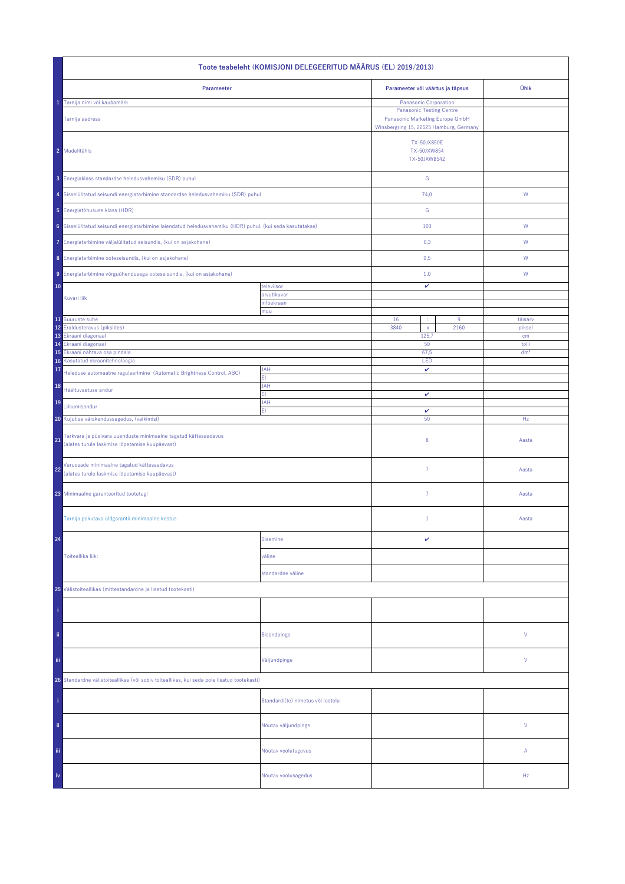| Toote teabeleht (KOMISJONI DELEGEERITUD MÄÄRUS (EL) 2019/2013)                                                          |                                   |                                                                                                                                        |                 |  |  |
|-------------------------------------------------------------------------------------------------------------------------|-----------------------------------|----------------------------------------------------------------------------------------------------------------------------------------|-----------------|--|--|
| Parameeter                                                                                                              | Parameeter või väärtus ja täpsus  | Ühik                                                                                                                                   |                 |  |  |
| Tarnija nimi või kaubamärk<br>Tarnija aadress                                                                           |                                   | Panasonic Corporation<br><b>Panasonic Testing Centre</b><br>Panasonic Marketing Europe GmbH<br>Winsbergring 15, 22525 Hamburg, Germany |                 |  |  |
| 2 Mudelitähis                                                                                                           |                                   | <b>TX-50JX850E</b><br>TX-50JXW854<br>TX-50JXW854Z                                                                                      |                 |  |  |
| 3 Energiaklass standardse heledusvahemiku (SDR) puhul                                                                   |                                   | ${\mathsf G}$                                                                                                                          |                 |  |  |
| 4 Sisselülitatud seisundi energiatarbimine standardse heledusvahemiku (SDR) puhul                                       |                                   | 74,0                                                                                                                                   | W               |  |  |
| 5 Energiatõhususe klass (HDR)                                                                                           |                                   | ${\mathsf G}$                                                                                                                          |                 |  |  |
| 6 Sisselülitatud seisundi energiatarbimine laiendatud heledusvahemiku (HDR) puhul, (kui seda kasutatakse)               |                                   | 103                                                                                                                                    | W               |  |  |
| 7 Energiatarbimine väljalülitatud seisundis, (kui on asjakohane)                                                        |                                   | 0,3                                                                                                                                    | W               |  |  |
| 8 Energiatarbimine ooteseisundis, (kui on asjakohane)                                                                   |                                   | 0,5                                                                                                                                    | W               |  |  |
| 9 Energiatarbimine võrguühendusega ooteseisundis, (kui on asjakohane)                                                   |                                   | 1,0                                                                                                                                    | W               |  |  |
| 10                                                                                                                      | televiisor                        | v                                                                                                                                      |                 |  |  |
| Kuvari liik                                                                                                             | arvutikuvar<br>infoekraan         |                                                                                                                                        |                 |  |  |
| 11 Suuruste suhe                                                                                                        | muu                               | 16                                                                                                                                     | 9<br>täisarv    |  |  |
| 12 Eraldusteravus (pikslites)                                                                                           |                                   | 3840<br>$\bar{\mathbf{x}}$                                                                                                             | 2160<br>piksel  |  |  |
| 13 Ekraani diagonaal<br>Ekraani diagonaal<br>14                                                                         |                                   | 125,7<br>50                                                                                                                            | cm<br>tolli     |  |  |
| 15<br>Ekraani nähtava osa pindala                                                                                       |                                   | 67,5                                                                                                                                   | dm <sup>2</sup> |  |  |
| Kasutatud ekraanitehnoloogia<br>16<br>17                                                                                | <b>JAH</b>                        | LED<br>v                                                                                                                               |                 |  |  |
| Heleduse automaatne reguleerimine (Automatic Brightness Control, ABC)<br>18                                             | ΕI<br><b>JAH</b>                  |                                                                                                                                        |                 |  |  |
| Häältuvastuse andur                                                                                                     | FI.                               | v                                                                                                                                      |                 |  |  |
| 19<br>Liikumisandur                                                                                                     | JAH<br>EI.                        | v                                                                                                                                      |                 |  |  |
| 20 Kujutise värskendussagedus, (vaikimisi)                                                                              |                                   | 50                                                                                                                                     | Hz              |  |  |
| Tarkvara ja püsivara uuenduste minimaalne tagatud kättesaadavus<br>21<br>(alates turule laskmise lõpetamise kuupäevast) |                                   | 8                                                                                                                                      | Aasta           |  |  |
| Varuosade minimaalne tagatud kättesaadavus<br>22<br>(alates turule laskmise lõpetamise kuupäevast)                      |                                   | $\overline{7}$                                                                                                                         | Aasta           |  |  |
| 23 Minimaalne garanteeritud tootetugi                                                                                   |                                   | 7                                                                                                                                      | Aasta           |  |  |
| Tarnija pakutava üldgarantii minimaalne kestus                                                                          |                                   | $\mathbf{1}$                                                                                                                           | Aasta           |  |  |
| 24                                                                                                                      | <b>Sisemine</b>                   | v                                                                                                                                      |                 |  |  |
| Toiteallika liik:                                                                                                       | väline                            |                                                                                                                                        |                 |  |  |
|                                                                                                                         | standardne väline                 |                                                                                                                                        |                 |  |  |
| 25 Välistoiteallikas (mittestandardne ja lisatud tootekasti)                                                            |                                   |                                                                                                                                        |                 |  |  |
|                                                                                                                         |                                   |                                                                                                                                        |                 |  |  |
| ii.                                                                                                                     | Sisendpinge                       |                                                                                                                                        | ٧               |  |  |
| iij                                                                                                                     | Väljundpinge                      |                                                                                                                                        | ٧               |  |  |
| 26 Standardne välistoiteallikas (või sobiv toiteallikas, kui seda pole lisatud tootekasti)                              |                                   |                                                                                                                                        |                 |  |  |
|                                                                                                                         | Standardi(te) nimetus või loetelu |                                                                                                                                        |                 |  |  |
| ii.                                                                                                                     | Nõutav väljundpinge               |                                                                                                                                        | V               |  |  |
| Ϊij                                                                                                                     | Nõutav voolutugevus               |                                                                                                                                        | Α               |  |  |
| iv                                                                                                                      | Nõutav voolusagedus               |                                                                                                                                        | Hz              |  |  |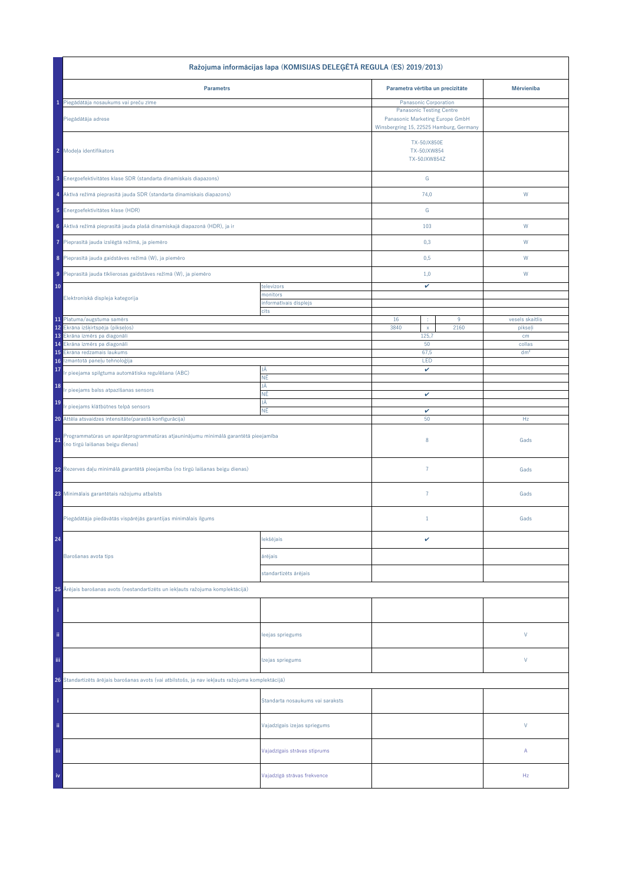| Ražojuma informācijas lapa (KOMISIJAS DELEĢĒTĀ REGULA (ES) 2019/2013)                                                        |                                    |                                                   |                                                                                                               |                           |  |
|------------------------------------------------------------------------------------------------------------------------------|------------------------------------|---------------------------------------------------|---------------------------------------------------------------------------------------------------------------|---------------------------|--|
| <b>Parametrs</b>                                                                                                             |                                    | Parametra vērtība un precizitāte                  |                                                                                                               | Mērvienība                |  |
| 1 Piegādātāja nosaukums vai preču zīme                                                                                       |                                    | Panasonic Corporation                             |                                                                                                               |                           |  |
| Piegādātāja adrese                                                                                                           |                                    |                                                   | <b>Panasonic Testing Centre</b><br>Panasonic Marketing Europe GmbH<br>Winsbergring 15, 22525 Hamburg, Germany |                           |  |
| 2 Modeļa identifikators                                                                                                      |                                    | <b>TX-50JX850E</b><br>TX-50JXW854<br>TX-50JXW854Z |                                                                                                               |                           |  |
| 3 Energoefektivitātes klase SDR (standarta dinamiskais diapazons)                                                            |                                    | ${\mathbb G}$                                     |                                                                                                               |                           |  |
| 4 Aktīvā režīmā pieprasītā jauda SDR (standarta dinamiskais diapazons)                                                       |                                    | 74,0                                              |                                                                                                               | W                         |  |
| 5 Energoefektivitätes klase (HDR)                                                                                            |                                    | G                                                 |                                                                                                               |                           |  |
| 6 Aktīvā režīmā pieprasītā jauda plašā dinamiskajā diapazonā (HDR), ja ir                                                    |                                    | 103                                               |                                                                                                               | W                         |  |
| Pieprasītā jauda izslēgtā režīmā, ja piemēro<br>7                                                                            |                                    | 0,3                                               |                                                                                                               | W                         |  |
| 8 Pieprasītā jauda gaidstāves režīmā (W), ja piemēro                                                                         |                                    | 0,5                                               |                                                                                                               | W                         |  |
| 9 Pieprasītā jauda tīklierosas gaidstāves režīmā (W), ja piemēro                                                             |                                    | 1,0                                               |                                                                                                               | W                         |  |
| 10                                                                                                                           | televizors                         | v                                                 |                                                                                                               |                           |  |
| Elektroniskā displeja kategorija                                                                                             | monitors<br>informatīvais displejs |                                                   |                                                                                                               |                           |  |
|                                                                                                                              | cits                               | $\cdot$                                           |                                                                                                               | vesels skaitlis           |  |
| 11 Platuma/augstuma samērs<br>12 Ekrāna izšķirtspēja (pikseļos)                                                              |                                    | 16<br>3840<br>$\mathsf X$                         | $9\,$<br>2160                                                                                                 | pikseļi                   |  |
| 13 Ekrâna izmêrs pa diagonâli                                                                                                |                                    | 125,7                                             |                                                                                                               | cm                        |  |
| Ekrâna izmêrs pa diagonâli<br>14<br>Ekrāna redzamais laukums<br>15                                                           |                                    | 50<br>67,5                                        |                                                                                                               | collas<br>dm <sup>2</sup> |  |
| Izmantotā paneļu tehnoloģija<br>16                                                                                           |                                    | LED                                               |                                                                                                               |                           |  |
| 17<br>r pieejama spilgtuma automātiska regulēšana (ABC)                                                                      | JĀ<br>ΝĒ                           | v                                                 |                                                                                                               |                           |  |
| 18<br>r pieejams balss atpazīšanas sensors                                                                                   | JĀ<br>ΝĒ                           | v                                                 |                                                                                                               |                           |  |
| 19<br>Ir pieejams klātbūtnes telpā sensors                                                                                   | JĀ                                 |                                                   |                                                                                                               |                           |  |
| 20 Attēla atsvaidzes intensitāte (parastā konfigurācija)                                                                     | ΝĒ                                 | v<br>50                                           |                                                                                                               | Hz                        |  |
| Programmatūras un aparātprogrammatūras atjauninājumu minimālā garantētā pieejamība<br>21<br>(no tirgū laišanas beigu dienas) |                                    | 8                                                 |                                                                                                               | Gads                      |  |
| 22 Rezerves daļu minimālā garantētā pieejamība (no tirgū laišanas beigu dienas)                                              |                                    | $\overline{7}$                                    |                                                                                                               | Gads                      |  |
| 23 Minimālais garantētais ražojumu atbalsts                                                                                  |                                    | $\overline{7}$                                    |                                                                                                               | Gads                      |  |
| Piegādātāja piedāvātās vispārējās garantijas minimālais ilgums                                                               |                                    | $\mathbf{1}$                                      |                                                                                                               | Gads                      |  |
| 24                                                                                                                           | lekšējais                          | v                                                 |                                                                                                               |                           |  |
| Barošanas avota tips                                                                                                         | ārējais                            |                                                   |                                                                                                               |                           |  |
|                                                                                                                              | standartizēts ārējais              |                                                   |                                                                                                               |                           |  |
| 25 Ārējais barošanas avots (nestandartizēts un iekļauts ražojuma komplektācijā)                                              |                                    |                                                   |                                                                                                               |                           |  |
|                                                                                                                              |                                    |                                                   |                                                                                                               |                           |  |
| ii.                                                                                                                          | leejas spriegums                   |                                                   |                                                                                                               | V                         |  |
| Ϊij                                                                                                                          | Izejas spriegums                   |                                                   |                                                                                                               | V                         |  |
| 26 Standartizēts ārējais barošanas avots (vai atbilstošs, ja nav iekļauts ražojuma komplektācijā)                            |                                    |                                                   |                                                                                                               |                           |  |
|                                                                                                                              | Standarta nosaukums vai saraksts   |                                                   |                                                                                                               |                           |  |
| ii.                                                                                                                          | Vajadzīgais izejas spriegums       |                                                   |                                                                                                               | $\mathsf{V}$              |  |
| iii.                                                                                                                         | Vajadzīgais strāvas stiprums       |                                                   |                                                                                                               | Α                         |  |
| iv                                                                                                                           | Vajadzīgā strāvas frekvence        |                                                   |                                                                                                               | Hz                        |  |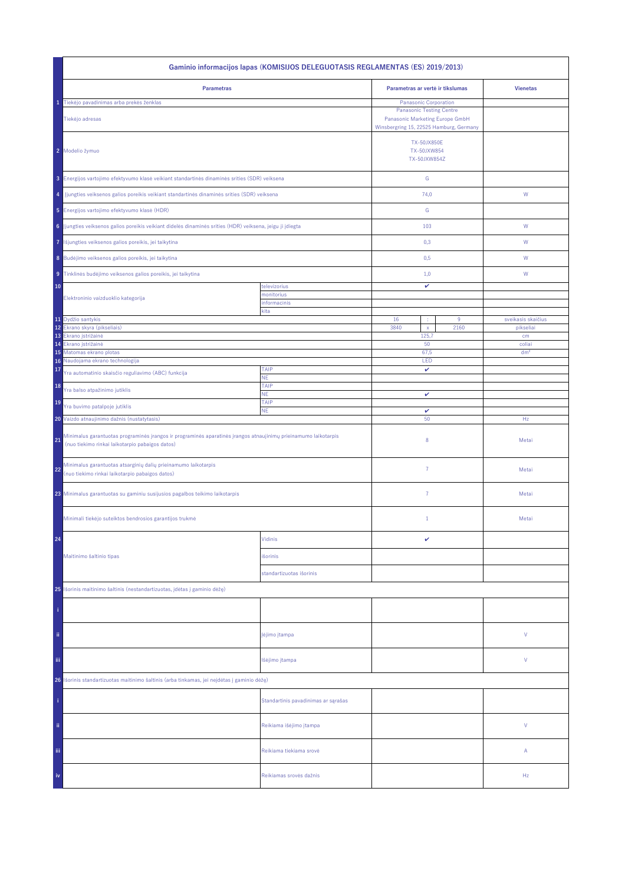| Gaminio informacijos lapas (KOMISIJOS DELEGUOTASIS REGLAMENTAS (ES) 2019/2013)                                                                                           |                                     |                                                                                                                                        |           |                                 |  |
|--------------------------------------------------------------------------------------------------------------------------------------------------------------------------|-------------------------------------|----------------------------------------------------------------------------------------------------------------------------------------|-----------|---------------------------------|--|
| <b>Parametras</b>                                                                                                                                                        |                                     | Parametras ar vertė ir tikslumas                                                                                                       |           | <b>Vienetas</b>                 |  |
| Tiekėjo pavadinimas arba prekės ženklas<br>Tiekėjo adresas                                                                                                               |                                     | Panasonic Corporation<br><b>Panasonic Testing Centre</b><br>Panasonic Marketing Europe GmbH<br>Winsbergring 15, 22525 Hamburg, Germany |           |                                 |  |
| 2 Modelio žymuo                                                                                                                                                          |                                     | <b>TX-50JX850E</b><br>TX-50JXW854<br>TX-50JXW854Z                                                                                      |           |                                 |  |
| 3 Energijos vartojimo efektyvumo klasė veikiant standartinės dinaminės srities (SDR) veiksena                                                                            |                                     | ${\mathsf G}$                                                                                                                          |           |                                 |  |
| Jjungties veiksenos galios poreikis veikiant standartinės dinaminės srities (SDR) veiksena<br>4                                                                          |                                     | 74,0                                                                                                                                   |           | ${\mathsf W}$                   |  |
| 5 Energijos vartojimo efektyvumo klasė (HDR)                                                                                                                             |                                     | G                                                                                                                                      |           |                                 |  |
| 6 Jjungties veiksenos galios poreikis veikiant didelės dinaminės srities (HDR) veiksena, jeigu ji įdiegta                                                                |                                     | 103                                                                                                                                    |           | W                               |  |
| Išjungties veiksenos galios poreikis, jei taikytina<br>7                                                                                                                 |                                     | 0,3                                                                                                                                    |           | W                               |  |
| 8 Budėjimo veiksenos galios poreikis, jei taikytina                                                                                                                      |                                     | 0,5                                                                                                                                    |           | W                               |  |
| 9 Tinklinės budėjimo veiksenos galios poreikis, jei taikytina                                                                                                            |                                     | 1,0                                                                                                                                    |           | W                               |  |
| 10<br>Elektroninio vaizduoklio kategorija                                                                                                                                | televizorius<br>monitorius          | v                                                                                                                                      |           |                                 |  |
|                                                                                                                                                                          | informacinis<br>kita                |                                                                                                                                        |           |                                 |  |
| 11 Dydžio santykis<br>12<br>Ekrano skyra (pikseliais)                                                                                                                    |                                     | 16<br>÷<br>3840<br>$\mathsf{x}$                                                                                                        | 9<br>2160 | sveikasis skaičius<br>pikseliai |  |
| 13<br>Ekrano įstrižainė                                                                                                                                                  |                                     | 125,7                                                                                                                                  |           | cm                              |  |
| 14<br>Ekrano įstrižainė<br>15 Matomas ekrano plotas                                                                                                                      |                                     | 50                                                                                                                                     |           | coliai<br>dm <sup>2</sup>       |  |
| Naudojama ekrano technologija<br>16                                                                                                                                      |                                     | 67,5<br>LED                                                                                                                            |           |                                 |  |
| 17<br>Yra automatinio skaisčio reguliavimo (ABC) funkcija                                                                                                                | TAIP<br>NE.                         | v                                                                                                                                      |           |                                 |  |
| 18<br>Yra balso atpažinimo jutiklis                                                                                                                                      | TAIP<br><b>NE</b>                   | v                                                                                                                                      |           |                                 |  |
| 19<br>Yra buvimo patalpoje jutiklis                                                                                                                                      | TAIP                                |                                                                                                                                        |           |                                 |  |
| 20 Vaizdo atnaujinimo dažnis (nustatytasis)                                                                                                                              | <b>NE</b>                           | $\checkmark$<br>50                                                                                                                     |           | Hz                              |  |
| Minimalus garantuotas programinės įrangos ir programinės aparatinės įrangos atnaujinimų prieinamumo laikotarpis<br>21<br>(nuo tiekimo rinkai laikotarpio pabaigos datos) |                                     | 8                                                                                                                                      |           | Metai                           |  |
| Minimalus garantuotas atsarginių dalių prieinamumo laikotarpis<br>22<br>(nuo tiekimo rinkai laikotarpio pabaigos datos)                                                  |                                     | $\overline{7}$                                                                                                                         |           | Metai                           |  |
| 23 Minimalus garantuotas su gaminiu susijusios pagalbos teikimo laikotarpis                                                                                              |                                     | $\overline{7}$                                                                                                                         |           | Metai                           |  |
| Minimali tiekėjo suteiktos bendrosios garantijos trukmė                                                                                                                  |                                     | $1\,$                                                                                                                                  |           | Metai                           |  |
| 24                                                                                                                                                                       | Vidinis                             | v                                                                                                                                      |           |                                 |  |
| Maitinimo šaltinio tipas                                                                                                                                                 | išorinis                            |                                                                                                                                        |           |                                 |  |
|                                                                                                                                                                          | standartizuotas išorinis            |                                                                                                                                        |           |                                 |  |
| 25 Išorinis maitinimo šaltinis (nestandartizuotas, įdėtas į gaminio dėžę)                                                                                                |                                     |                                                                                                                                        |           |                                 |  |
|                                                                                                                                                                          |                                     |                                                                                                                                        |           |                                 |  |
| ii.                                                                                                                                                                      | įėjimo įtampa                       |                                                                                                                                        |           | ٧                               |  |
| Ϊij                                                                                                                                                                      | Išėjimo įtampa                      |                                                                                                                                        |           | ٧                               |  |
| Išorinis standartizuotas maitinimo šaltinis (arba tinkamas, jei neįdėtas į gaminio dėžę)<br>26                                                                           |                                     |                                                                                                                                        |           |                                 |  |
|                                                                                                                                                                          | Standartinis pavadinimas ar sąrašas |                                                                                                                                        |           |                                 |  |
| ii.                                                                                                                                                                      | Reikiama išėjimo įtampa             |                                                                                                                                        |           | V                               |  |
| Ϊij                                                                                                                                                                      | Reikiama tiekiama srovė             |                                                                                                                                        |           | Α                               |  |
| iv                                                                                                                                                                       | Reikiamas srovės dažnis             |                                                                                                                                        |           | Hz                              |  |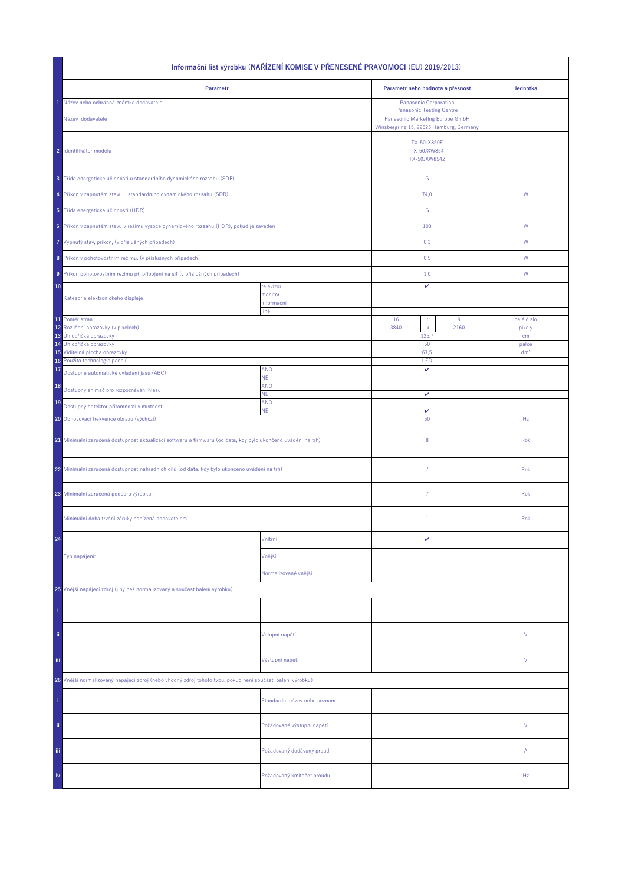| Informační list výrobku (NAŘÍZENÍ KOMISE V PŘENESENÉ PRAVOMOCI (EU) 2019/2013)                               |                              |                                                                                                                                        |      |                 |  |
|--------------------------------------------------------------------------------------------------------------|------------------------------|----------------------------------------------------------------------------------------------------------------------------------------|------|-----------------|--|
| Parametr                                                                                                     |                              | Parametr nebo hodnota a přesnost                                                                                                       |      | Jednotka        |  |
| Název nebo ochranná známka dodavatele<br>Název dodavatele                                                    |                              | Panasonic Corporation<br><b>Panasonic Testing Centre</b><br>Panasonic Marketing Europe GmbH<br>Winsbergring 15, 22525 Hamburg, Germany |      |                 |  |
| 2 Identifikátor modelu                                                                                       |                              | <b>TX-50JX850E</b><br>TX-50JXW854<br>TX-50JXW854Z                                                                                      |      |                 |  |
| 3 Třída energetické účinnosti u standardního dynamického rozsahu (SDR)                                       |                              | ${\mathsf G}$                                                                                                                          |      |                 |  |
| 4 Příkon v zapnutém stavu u standardního dynamického rozsahu (SDR)                                           |                              | 74,0                                                                                                                                   |      | W               |  |
| 5 Třída energetické účinnosti (HDR)                                                                          |                              | G                                                                                                                                      |      |                 |  |
| 6 Příkon v zapnutém stavu v režimu vysoce dynamického rozsahu (HDR), pokud je zaveden                        |                              | 103                                                                                                                                    |      | W               |  |
| 7 Vypnutý stav, příkon, (v příslušných případech)                                                            |                              | 0,3                                                                                                                                    |      | W               |  |
| 8 Příkon v pohotovostním režimu, (v příslušných případech)                                                   |                              | 0,5                                                                                                                                    |      | W               |  |
| 9 Příkon pohotovostním režimu při připojení na síť (v příslušných případech)                                 |                              | 1,0                                                                                                                                    |      | W               |  |
| 10<br>Kategorie elektronického displeje                                                                      | televizor<br>monitor         | v                                                                                                                                      |      |                 |  |
|                                                                                                              | informační<br>jiné           |                                                                                                                                        |      |                 |  |
| 11 Poměr stran                                                                                               |                              | 16<br>÷                                                                                                                                | 9    | celé číslo      |  |
| 12<br>Rozlišení obrazovky (v pixelech)<br>13 Úhlopříčka obrazovky                                            |                              | 3840<br>$\mathsf{x}$<br>125,7                                                                                                          | 2160 | pixely<br>cm    |  |
| 14 Úhlopříčka obrazovky                                                                                      |                              | 50                                                                                                                                     |      | palce           |  |
| 15 Viditelná plocha obrazovky                                                                                |                              | 67,5                                                                                                                                   |      | dm <sup>2</sup> |  |
| Použitá technologie panelů<br>16<br>17                                                                       | <b>ANO</b>                   | LED<br>v                                                                                                                               |      |                 |  |
| Dostupné automatické ovládání jasu (ABC)                                                                     | NE.                          |                                                                                                                                        |      |                 |  |
| 18<br>Dostupný snímač pro rozpoznávání hlasu                                                                 | ANO<br>ΝE.                   | v                                                                                                                                      |      |                 |  |
| 19<br>Dostupný detektor přítomnosti v místnosti                                                              | ANO                          | v                                                                                                                                      |      |                 |  |
| <b>NE</b><br>20 Obnovovací frekvence obrazu (výchozí)                                                        |                              | 50                                                                                                                                     |      | Hz              |  |
| 21 Minimální zaručená dostupnost aktualizací softwaru a firmwaru (od data, kdy bylo ukončeno uvádění na trh) |                              | 8                                                                                                                                      |      | Rok             |  |
| 22 Minimální zaručená dostupnost náhradních dílů (od data, kdy bylo ukončeno uvádění na trh)                 |                              | $\overline{7}$                                                                                                                         |      | Rok             |  |
| 23 Minimální zaručená podpora výrobku                                                                        |                              | $\overline{7}$                                                                                                                         |      | Rok             |  |
| Minimální doba trvání záruky nabízená dodavatelem                                                            |                              | $\mathbf{1}$                                                                                                                           |      | Rok             |  |
| 24                                                                                                           | Vnitřní                      | v                                                                                                                                      |      |                 |  |
| Typ napájení:                                                                                                | Vnější                       |                                                                                                                                        |      |                 |  |
|                                                                                                              | Normalizované vnější         |                                                                                                                                        |      |                 |  |
| 25 Vnější napájecí zdroj (jiný než normalizovaný a součást balení výrobku)                                   |                              |                                                                                                                                        |      |                 |  |
|                                                                                                              |                              |                                                                                                                                        |      |                 |  |
| ii.                                                                                                          | Vstupní napětí               |                                                                                                                                        |      | ٧               |  |
| Ϊij                                                                                                          | Výstupní napětí              |                                                                                                                                        |      | ٧               |  |
| 26 Vnější normalizovaný napájecí zdroj (nebo vhodný zdroj tohoto typu, pokud není součástí balení výrobku)   |                              |                                                                                                                                        |      |                 |  |
|                                                                                                              | Standardní název nebo seznam |                                                                                                                                        |      |                 |  |
| ii.                                                                                                          | Požadované výstupní napětí   |                                                                                                                                        |      | V               |  |
| Ϊij                                                                                                          | Požadovaný dodávaný proud    |                                                                                                                                        |      | Α               |  |
| iv                                                                                                           | Požadovaný kmitočet proudu   |                                                                                                                                        |      | Hz              |  |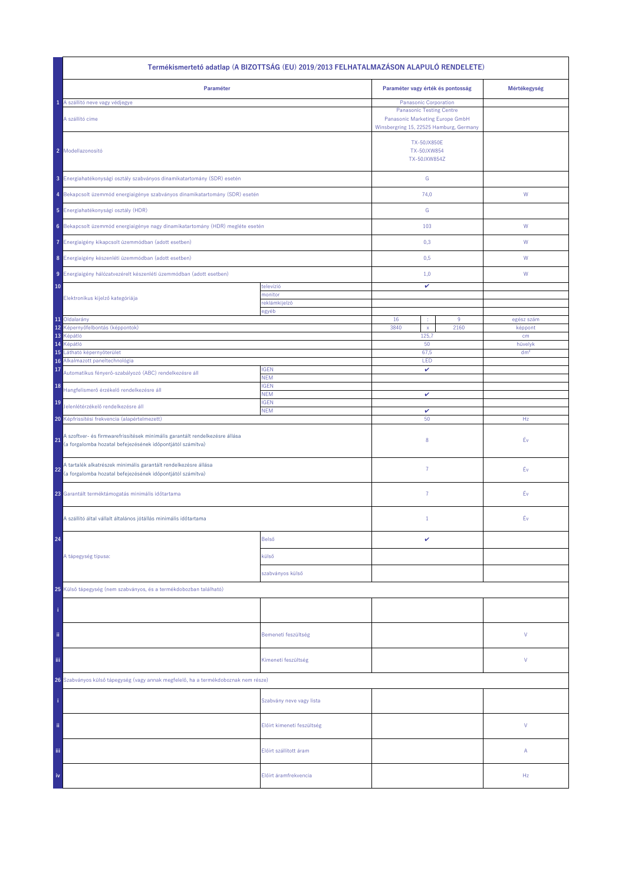| Termékismertető adatlap (A BIZOTTSÁG (EU) 2019/2013 FELHATALMAZÁSON ALAPULÓ RENDELETE)                                                          |                            |                                                                                                               |                 |  |  |
|-------------------------------------------------------------------------------------------------------------------------------------------------|----------------------------|---------------------------------------------------------------------------------------------------------------|-----------------|--|--|
| Paraméter                                                                                                                                       |                            | Paraméter vagy érték és pontosság                                                                             | Mértékegység    |  |  |
| A szállító neve vagy védjegye<br>1.                                                                                                             |                            | Panasonic Corporation                                                                                         |                 |  |  |
| A szállító címe                                                                                                                                 |                            | <b>Panasonic Testing Centre</b><br>Panasonic Marketing Europe GmbH<br>Winsbergring 15, 22525 Hamburg, Germany |                 |  |  |
| 2 Modellazonosító                                                                                                                               |                            | <b>TX-50JX850E</b><br>TX-50JXW854<br>TX-50JXW854Z                                                             |                 |  |  |
| 3 Energiahatékonysági osztály szabványos dinamikatartomány (SDR) esetén                                                                         |                            | G                                                                                                             |                 |  |  |
| 4 Bekapcsolt üzemmód energiaigénye szabványos dinamikatartomány (SDR) esetén                                                                    |                            | 74,0                                                                                                          | ${\sf W}$       |  |  |
| 5 Energiahatékonysági osztály (HDR)                                                                                                             |                            | G                                                                                                             |                 |  |  |
| 6 Bekapcsolt üzemmód energiaigénye nagy dinamikatartomány (HDR) megléte esetén                                                                  |                            | 103                                                                                                           | ${\sf W}$       |  |  |
| 7 Energiaigény kikapcsolt üzemmódban (adott esetben)                                                                                            |                            | 0,3                                                                                                           | W               |  |  |
| 8 Energiaigény készenléti üzemmódban (adott esetben)                                                                                            |                            | 0,5                                                                                                           | W               |  |  |
| 9 Energiaigény hálózatvezérelt készenléti üzemmódban (adott esetben)                                                                            |                            | 1,0                                                                                                           | W               |  |  |
| 10                                                                                                                                              | televízió                  | v                                                                                                             |                 |  |  |
| Elektronikus kijelző kategóriája                                                                                                                | monitor<br>reklámkijelző   |                                                                                                               |                 |  |  |
|                                                                                                                                                 | egyéb                      |                                                                                                               |                 |  |  |
| 11 Oldalarány                                                                                                                                   |                            | 16<br>9<br>÷                                                                                                  | egész szám      |  |  |
| 12 Képernyőfelbontás (képpontok)<br>13<br>Képátló                                                                                               |                            | 3840<br>2160<br>$\mathsf X$<br>125,7                                                                          | képpont<br>cm   |  |  |
| 14<br>Képátló                                                                                                                                   |                            | 50                                                                                                            | hüvelyk         |  |  |
| 15<br>Látható képernyőterület                                                                                                                   |                            | 67,5                                                                                                          | dm <sup>2</sup> |  |  |
| 16 Alkalmazott paneltechnológia                                                                                                                 |                            | LED                                                                                                           |                 |  |  |
| 17<br>Automatikus fényerő-szabályozó (ABC) rendelkezésre áll                                                                                    | <b>IGEN</b><br><b>NEM</b>  | v                                                                                                             |                 |  |  |
| 18<br>Hangfelismerő érzékelő rendelkezésre áll                                                                                                  | <b>IGEN</b><br><b>NEM</b>  | v                                                                                                             |                 |  |  |
| 19<br>Jelenlétérzékelő rendelkezésre áll                                                                                                        | <b>IGEN</b><br><b>NEM</b>  | v                                                                                                             |                 |  |  |
| 20 Képfrissítési frekvencia (alapértelmezett)                                                                                                   |                            | 50                                                                                                            | Hz              |  |  |
| A szoftver- és firmwarefrissítések minimális garantált rendelkezésre állása<br>21<br>(a forgalomba hozatal befejezésének időpontjától számítva) |                            | 8                                                                                                             | Év              |  |  |
| A tartalék alkatrészek minimális garantált rendelkezésre állása<br>22<br>(a forgalomba hozatal befejezésének időpontjától számítva)             |                            | $\overline{7}$                                                                                                | Éν              |  |  |
| 23 Garantált terméktámogatás minimális időtartama                                                                                               |                            | $\overline{7}$                                                                                                | Év              |  |  |
| A szállító által vállalt általános jótállás minimális időtartama                                                                                |                            | $\mathbf{1}$                                                                                                  | Éν              |  |  |
| 24                                                                                                                                              | Belső                      | v                                                                                                             |                 |  |  |
| A tápegység típusa:                                                                                                                             | külső                      |                                                                                                               |                 |  |  |
|                                                                                                                                                 | szabványos külső           |                                                                                                               |                 |  |  |
| 25 Külső tápegység (nem szabványos, és a termékdobozban található)                                                                              |                            |                                                                                                               |                 |  |  |
|                                                                                                                                                 |                            |                                                                                                               |                 |  |  |
| ii.                                                                                                                                             | Bemeneti feszültség        |                                                                                                               | V               |  |  |
| iii.                                                                                                                                            | Kimeneti feszültség        |                                                                                                               | V               |  |  |
| 26 Szabványos külső tápegység (vagy annak megfelelő, ha a termékdoboznak nem része)                                                             |                            |                                                                                                               |                 |  |  |
|                                                                                                                                                 | Szabvány neve vagy lista   |                                                                                                               |                 |  |  |
| ij,                                                                                                                                             | Előírt kimeneti feszültség |                                                                                                               | V               |  |  |
| Ϊij                                                                                                                                             | Előírt szállított áram     |                                                                                                               | Α               |  |  |
| iv                                                                                                                                              | Előírt áramfrekvencia      |                                                                                                               | Hz              |  |  |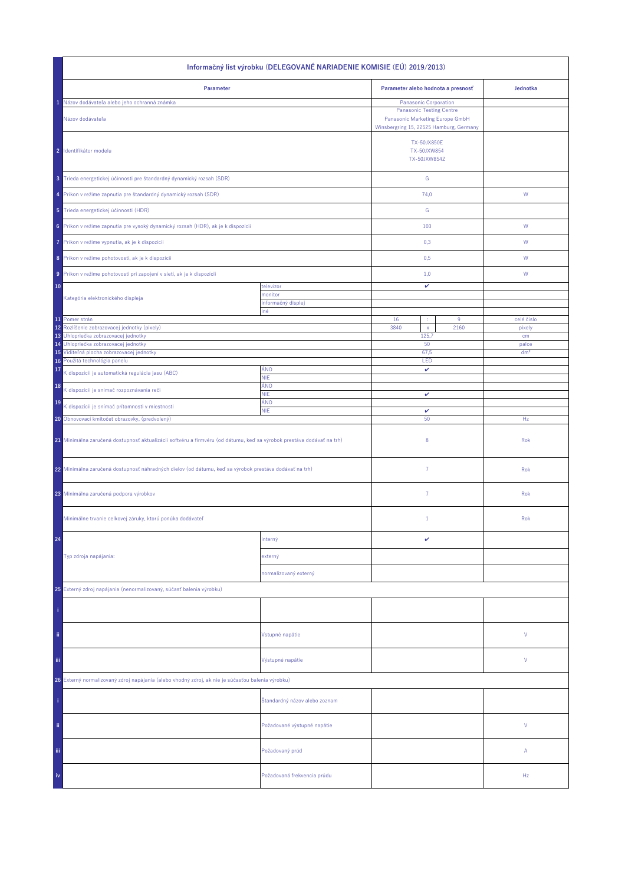| Informačný list výrobku (DELEGOVANÉ NARIADENIE KOMISIE (EÚ) 2019/2013)                                                |                                    |                                                                                                                                        |          |                 |  |
|-----------------------------------------------------------------------------------------------------------------------|------------------------------------|----------------------------------------------------------------------------------------------------------------------------------------|----------|-----------------|--|
| Parameter                                                                                                             | Parameter alebo hodnota a presnosť |                                                                                                                                        | Jednotka |                 |  |
| Názov dodávateľa alebo jeho ochranná známka<br>Názov dodávateľa                                                       |                                    | Panasonic Corporation<br><b>Panasonic Testing Centre</b><br>Panasonic Marketing Europe GmbH<br>Winsbergring 15, 22525 Hamburg, Germany |          |                 |  |
| 2 Identifikátor modelu                                                                                                |                                    | <b>TX-50JX850E</b><br>TX-50JXW854<br>TX-50JXW854Z                                                                                      |          |                 |  |
| 3 Trieda energetickej účinnosti pre štandardný dynamický rozsah (SDR)                                                 |                                    | ${\mathsf G}$                                                                                                                          |          |                 |  |
| 4 Príkon v režime zapnutia pre štandardný dynamický rozsah (SDR)                                                      |                                    | 74,0                                                                                                                                   |          | W               |  |
| 5 Trieda energetickej účinnosti (HDR)                                                                                 |                                    | G                                                                                                                                      |          |                 |  |
| 6 Príkon v režime zapnutia pre vysoký dynamický rozsah (HDR), ak je k dispozícii                                      |                                    | 103                                                                                                                                    |          | W               |  |
| 7 Príkon v režime vypnutia, ak je k dispozícii                                                                        |                                    | 0,3                                                                                                                                    |          | W               |  |
| 8 Príkon v režime pohotovosti, ak je k dispozícii                                                                     |                                    | 0,5                                                                                                                                    |          | W               |  |
| 9 Príkon v režime pohotovosti pri zapojení v sieti, ak je k dispozícii                                                |                                    | 1,0                                                                                                                                    |          | W               |  |
| 10<br>Kategória elektronického displeja                                                                               | televízor<br>monitor               | v                                                                                                                                      |          |                 |  |
|                                                                                                                       | informačný displej<br>iné          |                                                                                                                                        |          |                 |  |
| 11 Pomer strán                                                                                                        |                                    | 16<br>÷                                                                                                                                | $9\,$    | celé číslo      |  |
| 12<br>Rozlíšenie zobrazovacej jednotky (pixely)<br>13 Uhlopriečka zobrazovacej jednotky                               |                                    | 3840<br>$\mathsf{x}$<br>125,7                                                                                                          | 2160     | pixely<br>cm    |  |
| 14 Uhlopriečka zobrazovacej jednotky                                                                                  |                                    | 50                                                                                                                                     |          | palce           |  |
| 15 Viditeľná plocha zobrazovacej jednotky<br>16 Použitá technológia panelu                                            |                                    | 67,5                                                                                                                                   |          | dm <sup>2</sup> |  |
| 17                                                                                                                    | ÁNO                                | LED<br>v                                                                                                                               |          |                 |  |
| K dispozícii je automatická regulácia jasu (ABC)                                                                      | <b>NIE</b><br>ÁNO                  |                                                                                                                                        |          |                 |  |
| 18<br>K dispozícii je snímač rozpoznávania reči                                                                       | <b>NIE</b>                         | v                                                                                                                                      |          |                 |  |
| 19<br>K dispozícii je snímač prítomnosti v miestnosti                                                                 | ÁNO<br><b>NIE</b>                  | $\checkmark$                                                                                                                           |          |                 |  |
| 20 Obnovovací kmitočet obrazovky, (predvolený)                                                                        |                                    | 50                                                                                                                                     |          | Hz              |  |
| 21 Minimálna zaručená dostupnosť aktualizácií softvéru a firmvéru (od dátumu, keď sa výrobok prestáva dodávať na trh) |                                    | 8                                                                                                                                      |          | Rok             |  |
| 22 Minimálna zaručená dostupnosť náhradných dielov (od dátumu, keď sa výrobok prestáva dodávať na trh)                |                                    | $\overline{7}$                                                                                                                         |          | Rok             |  |
| 23 Minimálna zaručená podpora výrobkov                                                                                |                                    | $\overline{7}$                                                                                                                         |          | Rok             |  |
| Minimálne trvanie celkovej záruky, ktorú ponúka dodávateľ                                                             |                                    | $\mathbf{1}$                                                                                                                           |          | Rok             |  |
| 24                                                                                                                    | interný                            | v                                                                                                                                      |          |                 |  |
| Typ zdroja napájania:                                                                                                 | externý                            |                                                                                                                                        |          |                 |  |
|                                                                                                                       | normalizovaný externý              |                                                                                                                                        |          |                 |  |
| 25 Externý zdroj napájania (nenormalizovaný, súčasť balenia výrobku)                                                  |                                    |                                                                                                                                        |          |                 |  |
|                                                                                                                       |                                    |                                                                                                                                        |          |                 |  |
| ii.                                                                                                                   | Vstupné napätie                    |                                                                                                                                        |          | ٧               |  |
| Ϊij                                                                                                                   | Výstupné napätie                   |                                                                                                                                        |          | ٧               |  |
| Externý normalizovaný zdroj napájania (alebo vhodný zdroj, ak nie je súčasťou balenia výrobku)<br>26                  |                                    |                                                                                                                                        |          |                 |  |
|                                                                                                                       | Štandardný názov alebo zoznam      |                                                                                                                                        |          |                 |  |
| ii.                                                                                                                   | Požadované výstupné napätie        |                                                                                                                                        |          | V               |  |
| Ϊij                                                                                                                   | Požadovaný prúd                    |                                                                                                                                        |          | Α               |  |
| iv                                                                                                                    | Požadovaná frekvencia prúdu        |                                                                                                                                        |          | Hz              |  |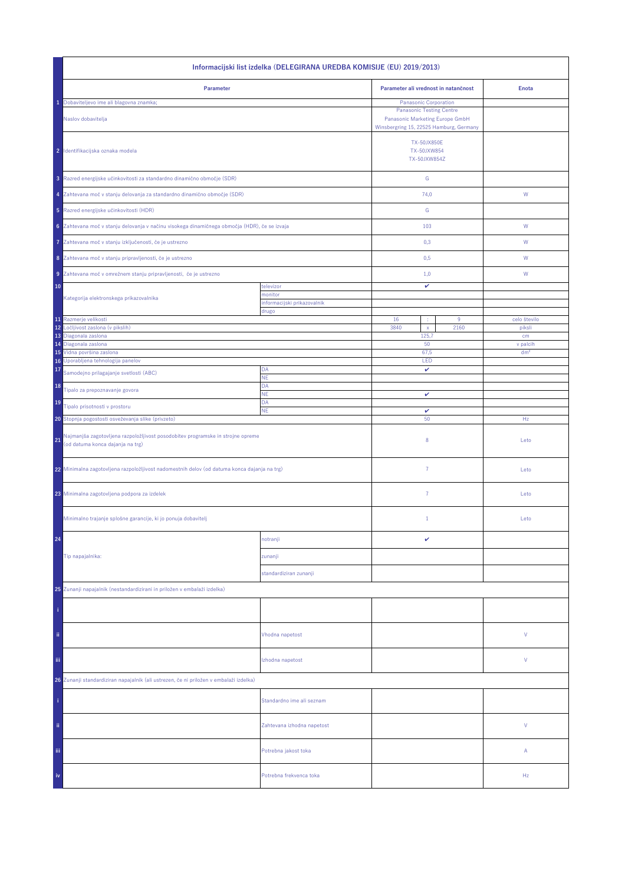| Informacijski list izdelka (DELEGIRANA UREDBA KOMISIJE (EU) 2019/2013)                                                    |                                        |                                                                                                               |                        |  |  |
|---------------------------------------------------------------------------------------------------------------------------|----------------------------------------|---------------------------------------------------------------------------------------------------------------|------------------------|--|--|
| Parameter                                                                                                                 |                                        | Parameter ali vrednost in natančnost                                                                          | <b>Enota</b>           |  |  |
| Dobaviteljevo ime ali blagovna znamka;                                                                                    |                                        | Panasonic Corporation                                                                                         |                        |  |  |
| Naslov dobavitelja                                                                                                        |                                        | <b>Panasonic Testing Centre</b><br>Panasonic Marketing Europe GmbH<br>Winsbergring 15, 22525 Hamburg, Germany |                        |  |  |
| 2 Identifikacijska oznaka modela                                                                                          |                                        | <b>TX-50JX850E</b><br>TX-50JXW854<br>TX-50JXW854Z                                                             |                        |  |  |
| 3 Razred energijske učinkovitosti za standardno dinamično območje (SDR)                                                   |                                        | ${\mathbb G}$                                                                                                 |                        |  |  |
| 4 Zahtevana moč v stanju delovanja za standardno dinamično območje (SDR)                                                  |                                        | 74,0                                                                                                          | W                      |  |  |
| 5 Razred energijske učinkovitosti (HDR)                                                                                   |                                        | ${\mathbb G}$                                                                                                 |                        |  |  |
| 6 Zahtevana moč v stanju delovanja v načinu visokega dinamičnega območja (HDR), če se izvaja                              |                                        | 103                                                                                                           | ${\sf W}$              |  |  |
| Zahtevana moč v stanju izključenosti, če je ustrezno<br>7                                                                 |                                        | 0,3                                                                                                           | W                      |  |  |
| 8 Zahtevana moč v stanju pripravljenosti, če je ustrezno                                                                  |                                        | 0,5                                                                                                           | W                      |  |  |
| 9 Zahtevana moč v omrežnem stanju pripravljenosti, če je ustrezno                                                         |                                        | 1,0                                                                                                           | W                      |  |  |
| 10                                                                                                                        | televizor                              | v                                                                                                             |                        |  |  |
| Kategorija elektronskega prikazovalnika                                                                                   | monitor<br>informacijski prikazovalnik |                                                                                                               |                        |  |  |
|                                                                                                                           | drugo                                  |                                                                                                               |                        |  |  |
| 11 Razmerje velikosti<br>12<br>Ločljivost zaslona (v pikslih)                                                             |                                        | 16<br>$9\,$<br>3840<br>2160                                                                                   | celo število<br>piksli |  |  |
| 13 Diagonala zaslona                                                                                                      |                                        | $\mathsf X$<br>125,7                                                                                          | cm                     |  |  |
| 14 Diagonala zaslona                                                                                                      |                                        | 50                                                                                                            | v palcih               |  |  |
| 15 Vidna površina zaslona<br>16 Uporabljena tehnologija panelov                                                           |                                        | 67,5<br>LED                                                                                                   | dm <sup>2</sup>        |  |  |
| 17<br>Samodejno prilagajanje svetlosti (ABC)                                                                              | DA                                     | v                                                                                                             |                        |  |  |
| 18                                                                                                                        | NE<br>DA                               |                                                                                                               |                        |  |  |
| Tipalo za prepoznavanje govora                                                                                            | <b>NE</b>                              | v                                                                                                             |                        |  |  |
| 19<br>Tipalo prisotnosti v prostoru                                                                                       | DA<br><b>NE</b>                        | v                                                                                                             |                        |  |  |
| 20 Stopnja pogostosti osveževanja slike (privzeto)                                                                        |                                        | 50                                                                                                            | Hz                     |  |  |
| Najmanjša zagotovljena razpoložljivost posodobitev programske in strojne opreme<br>21<br>(od datuma konca dajanja na trg) |                                        | 8                                                                                                             | Leto                   |  |  |
| 22 Minimalna zagotovljena razpoložljivost nadomestnih delov (od datuma konca dajanja na trg)                              |                                        | $\overline{7}$                                                                                                | Leto                   |  |  |
| 23 Minimalna zagotovljena podpora za izdelek                                                                              |                                        | $\overline{7}$                                                                                                | Leto                   |  |  |
| Minimalno trajanje splošne garancije, ki jo ponuja dobavitelj                                                             |                                        | $\mathbf{1}$                                                                                                  | Leto                   |  |  |
| 24                                                                                                                        | notranji                               | v                                                                                                             |                        |  |  |
| Tip napajalnika:                                                                                                          | zunanji                                |                                                                                                               |                        |  |  |
|                                                                                                                           | standardiziran zunanji                 |                                                                                                               |                        |  |  |
|                                                                                                                           |                                        |                                                                                                               |                        |  |  |
| 25 Zunanji napajalnik (nestandardizirani in priložen v embalaži izdelka)                                                  |                                        |                                                                                                               |                        |  |  |
|                                                                                                                           |                                        |                                                                                                               |                        |  |  |
| ii.                                                                                                                       | Vhodna napetost                        |                                                                                                               | ٧                      |  |  |
| Ϊij                                                                                                                       | Izhodna napetost                       |                                                                                                               | ٧                      |  |  |
| 26 Zunanji standardiziran napajalnik (ali ustrezen, če ni priložen v embalaži izdelka)                                    |                                        |                                                                                                               |                        |  |  |
|                                                                                                                           | Standardno ime ali seznam              |                                                                                                               |                        |  |  |
| ii.                                                                                                                       | Zahtevana izhodna napetost             |                                                                                                               | V                      |  |  |
| iii.                                                                                                                      | Potrebna jakost toka                   |                                                                                                               | Α                      |  |  |
| iv                                                                                                                        | Potrebna frekvenca toka                |                                                                                                               | Hz                     |  |  |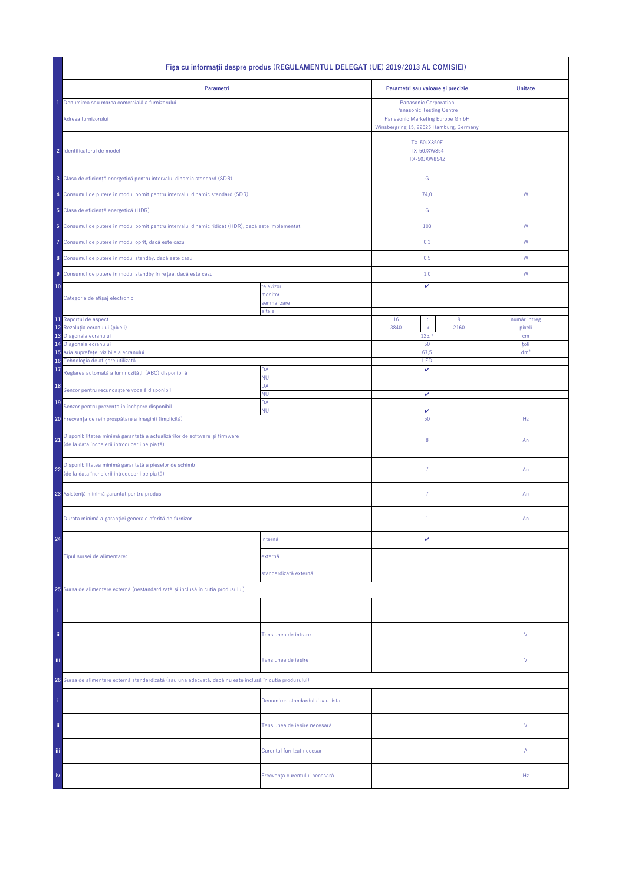| Fisa cu informații despre produs (REGULAMENTUL DELEGAT (UE) 2019/2013 AL COMISIEI)                                                |                                  |                                                   |                                                                                                                                        |                         |  |
|-----------------------------------------------------------------------------------------------------------------------------------|----------------------------------|---------------------------------------------------|----------------------------------------------------------------------------------------------------------------------------------------|-------------------------|--|
| Parametri                                                                                                                         |                                  | Parametri sau valoare și precizie                 |                                                                                                                                        | <b>Unitate</b>          |  |
| Denumirea sau marca comercială a furnizorului<br>Adresa furnizorului                                                              |                                  |                                                   | Panasonic Corporation<br><b>Panasonic Testing Centre</b><br>Panasonic Marketing Europe GmbH<br>Winsbergring 15, 22525 Hamburg, Germany |                         |  |
| 2 Identificatorul de model                                                                                                        |                                  | <b>TX-50JX850E</b><br>TX-50JXW854<br>TX-50JXW854Z |                                                                                                                                        |                         |  |
| 3 Clasa de eficiență energetică pentru intervalul dinamic standard (SDR)                                                          |                                  | ${\mathbb G}$                                     |                                                                                                                                        |                         |  |
| 4 Consumul de putere în modul pornit pentru intervalul dinamic standard (SDR)                                                     |                                  | 74,0                                              |                                                                                                                                        | W                       |  |
| 5 Clasa de eficiență energetică (HDR)                                                                                             |                                  | G                                                 |                                                                                                                                        |                         |  |
| 6 Consumul de putere în modul pornit pentru intervalul dinamic ridicat (HDR), dacă este implementat                               |                                  | 103                                               |                                                                                                                                        | W                       |  |
| Consumul de putere în modul oprit, dacă este cazu<br>7                                                                            |                                  | 0,3                                               |                                                                                                                                        | W                       |  |
| 8 Consumul de putere în modul standby, dacă este cazu                                                                             |                                  | 0,5                                               |                                                                                                                                        | W                       |  |
| 9 Consumul de putere în modul standby în rețea, dacă este cazu                                                                    |                                  | 1,0                                               |                                                                                                                                        | W                       |  |
| 10                                                                                                                                | televizor<br>monitor             | v                                                 |                                                                                                                                        |                         |  |
| Categoria de afișaj electronic                                                                                                    | semnalizare                      |                                                   |                                                                                                                                        |                         |  |
| 11 Raportul de aspect                                                                                                             | altele                           | 16<br>÷                                           | $9\,$                                                                                                                                  | număr întreg            |  |
| 12<br>Rezoluția ecranului (pixeli)                                                                                                |                                  | 3840<br>$\mathsf{x}$                              | 2160                                                                                                                                   | pixeli                  |  |
| 13<br>Diagonala ecranului                                                                                                         |                                  | 125,7                                             |                                                                                                                                        | cm                      |  |
| Diagonala ecranului<br>14<br>Aria suprafeței vizibile a ecranului<br>15                                                           |                                  | 50<br>67,5                                        |                                                                                                                                        | toli<br>dm <sup>2</sup> |  |
| Tehnologia de afișare utilizată<br>16                                                                                             |                                  | LED                                               |                                                                                                                                        |                         |  |
| 17<br>Reglarea automată a luminozității (ABC) disponibilă                                                                         | DA<br><b>NU</b>                  | v                                                 |                                                                                                                                        |                         |  |
| 18<br>Senzor pentru recunoaștere vocală disponibil                                                                                | DA<br>ΝU                         |                                                   |                                                                                                                                        |                         |  |
| 19<br>Senzor pentru prezența în încăpere disponibil                                                                               | DA                               | v                                                 |                                                                                                                                        |                         |  |
| <b>NU</b><br>20 Frecvența de reîmprospătare a imaginii (implicită)                                                                |                                  | $\checkmark$<br>50                                |                                                                                                                                        | Hz                      |  |
| Disponibilitatea minimă garantată a actualizărilor de software și firmware<br>21<br>(de la data încheierii introducerii pe piață) |                                  | 8                                                 |                                                                                                                                        | An                      |  |
| Disponibilitatea minimă garantată a pieselor de schimb<br>22<br>(de la data încheierii introducerii pe piață)                     |                                  | $\overline{7}$                                    |                                                                                                                                        | An                      |  |
| 23 Asistență minimă garantat pentru produs                                                                                        |                                  | $\overline{7}$                                    |                                                                                                                                        | An                      |  |
| Durata minimă a garanției generale oferită de furnizor                                                                            |                                  | $1\,$                                             |                                                                                                                                        | An                      |  |
| 24                                                                                                                                | Internă                          | v                                                 |                                                                                                                                        |                         |  |
| Tipul sursei de alimentare:                                                                                                       | externă                          |                                                   |                                                                                                                                        |                         |  |
|                                                                                                                                   | standardizată externă            |                                                   |                                                                                                                                        |                         |  |
| 25 Sursa de alimentare externă (nestandardizată și inclusă în cutia produsului)                                                   |                                  |                                                   |                                                                                                                                        |                         |  |
|                                                                                                                                   |                                  |                                                   |                                                                                                                                        |                         |  |
| ii.                                                                                                                               | Tensiunea de intrare             |                                                   |                                                                                                                                        | ٧                       |  |
| Ϊij<br>Tensiunea de ieșire                                                                                                        |                                  |                                                   |                                                                                                                                        | ٧                       |  |
| 26 Sursa de alimentare externă standardizată (sau una adecvată, dacă nu este inclusă în cutia produsului)                         |                                  |                                                   |                                                                                                                                        |                         |  |
|                                                                                                                                   | Denumirea standardului sau lista |                                                   |                                                                                                                                        |                         |  |
| ii.                                                                                                                               | Tensiunea de ieșire necesară     |                                                   |                                                                                                                                        | V                       |  |
| Ϊij                                                                                                                               | Curentul furnizat necesar        |                                                   |                                                                                                                                        | Α                       |  |
| iv                                                                                                                                | Frecvența curentului necesară    |                                                   |                                                                                                                                        | Hz                      |  |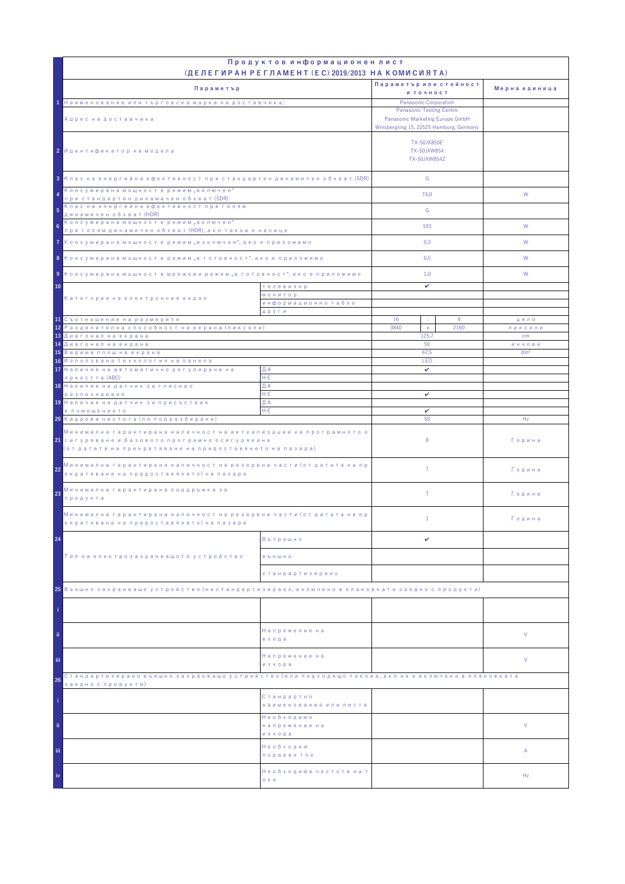|                                                                                                                                                                                            | Продуктов информационен лист                                                                                  |                                            |                 |               |
|--------------------------------------------------------------------------------------------------------------------------------------------------------------------------------------------|---------------------------------------------------------------------------------------------------------------|--------------------------------------------|-----------------|---------------|
|                                                                                                                                                                                            | (ДЕЛЕГИРАН РЕГЛАМЕНТ (EC) 2019/2013 НА КОМИСИЯТА)                                                             | Параметър или стойност                     |                 |               |
| Параметър                                                                                                                                                                                  |                                                                                                               | и точност                                  |                 | Мерна единица |
| 1 Наименование или търговска марка на доставчика;                                                                                                                                          |                                                                                                               | Panasonic Corporation                      |                 |               |
| Адрес на доставчика                                                                                                                                                                        | <b>Panasonic Testing Centre</b><br>Panasonic Marketing Europe GmbH<br>Winsbergring 15, 22525 Hamburg, Germany |                                            |                 |               |
| 2 Идентификатор на модела                                                                                                                                                                  |                                                                                                               | TX-50JX850E<br>TX-50JXW854<br>TX-50JXW854Z |                 |               |
| 3 Клас на енергийна ефективност при стандартен динамичен обхват (SDR)                                                                                                                      |                                                                                                               | G                                          |                 |               |
| Консумирана мощност в режим "включен"<br>4<br>при стандартен динамичен обхват (SDR)<br>Клас на енергийна ефективност при голям                                                             |                                                                                                               | 74.0                                       |                 | W             |
| 5<br>динамичен обхват (HDR)                                                                                                                                                                |                                                                                                               | G                                          |                 |               |
| Консумирана мощност в режим "включен"<br>6<br>при голям динамичен обхват (HDR), ако такъв е налице                                                                                         |                                                                                                               | 103                                        |                 | W             |
| 7 Консумирана мощност в режим "изключен", ако е приложимо                                                                                                                                  |                                                                                                               | 0,3                                        |                 | W             |
| 8 Консумирана мощност в режим "в готовност", ако е приложимо                                                                                                                               |                                                                                                               | 0,5                                        |                 | W             |
| 9 Консумирана мощност в мрежови режим "в готовност", ако е приложимо                                                                                                                       |                                                                                                               | 1,0                                        |                 | W             |
| 10<br>телевизор                                                                                                                                                                            |                                                                                                               | v                                          |                 |               |
| Категория на електронния екран                                                                                                                                                             | <b>МОНИТОР</b>                                                                                                |                                            |                 |               |
|                                                                                                                                                                                            | информационно табло<br>други                                                                                  |                                            |                 |               |
| 11 Съотношение на размерите                                                                                                                                                                |                                                                                                               | 16<br>÷                                    | 9               | цяло          |
| <mark>12</mark> Разделителна способност на екрана (пиксели)<br>13 Диагонал на екрана                                                                                                       |                                                                                                               | 3840<br>$\mathsf X$<br>125.7               | 2160            | пиксели<br>cm |
| <mark>14 Диагонал на екрана</mark>                                                                                                                                                         | 50                                                                                                            |                                            | инчове          |               |
| <mark>15</mark> Видима площ на екрана                                                                                                                                                      | 67,5                                                                                                          |                                            | dm <sup>2</sup> |               |
| 16 Използвана технология на панела<br>17 Наличие на автоматично регулиране на                                                                                                              | ДА                                                                                                            | LED<br>v                                   |                 |               |
| яркостта (ABC)                                                                                                                                                                             | HE.                                                                                                           |                                            |                 |               |
| 18 Наличие на датчик за гласово                                                                                                                                                            | ДА                                                                                                            |                                            |                 |               |
| разпознаване<br>19 Наличие на датчик за присъствие                                                                                                                                         | HE.<br>ДА                                                                                                     | v                                          |                 |               |
| в помещението                                                                                                                                                                              | HE                                                                                                            | v<br>50                                    |                 |               |
|                                                                                                                                                                                            | 20 Кадрова честота (по подразбиране)                                                                          |                                            |                 | Hz            |
| Минимална гарантирана наличност на актуализации на програмното о<br><mark>21</mark> сигуряване и базовото програмно осигуряване<br>(от датата на прекратяване на предоставянето на пазара) |                                                                                                               | 8                                          |                 | Година        |
| Минимална гарантирана наличност на резервни части (от датата на пр<br>22<br>екратяване на предоставянето) на пазара                                                                        |                                                                                                               | $\overline{7}$                             |                 | Година        |
| Минимална гарантирана поддръжка за<br>23<br>продукта                                                                                                                                       |                                                                                                               | $\overline{7}$                             |                 | Година        |
| Минимална гарантирана наличност на резервни части (от датата на пр<br>екратяване на предоставянето) на пазара                                                                              |                                                                                                               | $\mathbf{1}$                               |                 | Година        |
| 24                                                                                                                                                                                         | Вътрешно                                                                                                      | v                                          |                 |               |
| Тип на електрозахранващото устройство                                                                                                                                                      | <b>B Ъ Н Ш Н О</b>                                                                                            |                                            |                 |               |
|                                                                                                                                                                                            | стандартизирано                                                                                               |                                            |                 |               |
| 25 Външно захранващо устройство (нестандартизирано, включено в опаковката заедно с продукта)                                                                                               |                                                                                                               |                                            |                 |               |
|                                                                                                                                                                                            |                                                                                                               |                                            |                 |               |
| ii.                                                                                                                                                                                        | Напрежение на<br>входа                                                                                        |                                            |                 | V             |
| iii.                                                                                                                                                                                       | Напрежение на<br>изхода                                                                                       |                                            |                 | V             |
| Стандартизирано външно захранващо устройство (или подходящо такова, ако не е включено в опаковката<br>26                                                                                   |                                                                                                               |                                            |                 |               |
| заедно с продукта)                                                                                                                                                                         | Стандартно<br>наименование или листа                                                                          |                                            |                 |               |
| ii.                                                                                                                                                                                        | Необходимо<br>напрежение на<br>изхода                                                                         |                                            |                 | V             |
| iii.                                                                                                                                                                                       | Необходим<br>подаван ток                                                                                      |                                            |                 | Α             |
| iv                                                                                                                                                                                         | Необходима честота на т<br>о ка                                                                               |                                            |                 | Hz            |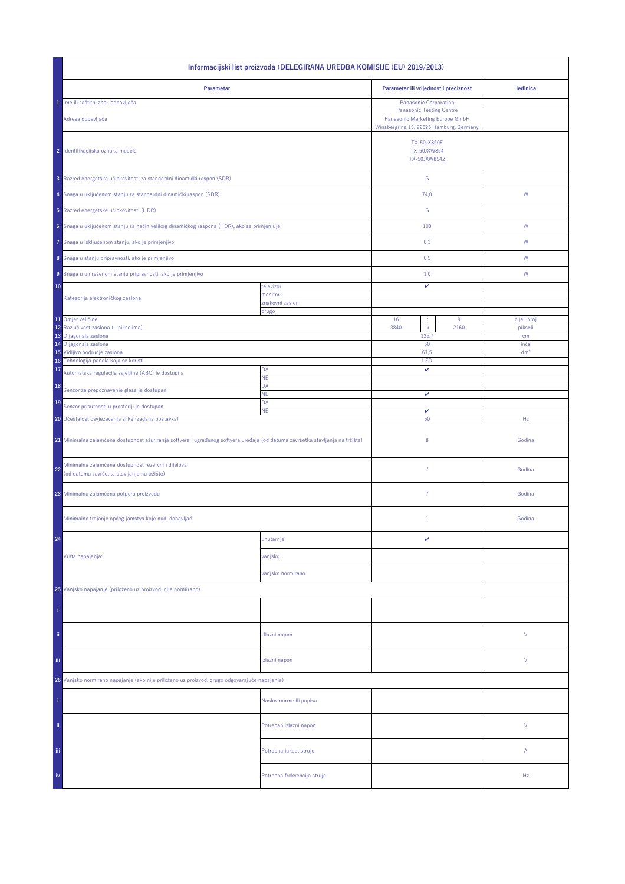| Informacijski list proizvoda (DELEGIRANA UREDBA KOMISIJE (EU) 2019/2013)                                                       |                             |                                                                                                               |      |                         |  |
|--------------------------------------------------------------------------------------------------------------------------------|-----------------------------|---------------------------------------------------------------------------------------------------------------|------|-------------------------|--|
| Parametar                                                                                                                      |                             | Parametar ili vrijednost i preciznost                                                                         |      | Jedinica                |  |
| Ime ili zaštitni znak dobavljača<br>1                                                                                          |                             | Panasonic Corporation                                                                                         |      |                         |  |
| Adresa dobavljača                                                                                                              |                             | <b>Panasonic Testing Centre</b><br>Panasonic Marketing Europe GmbH<br>Winsbergring 15, 22525 Hamburg, Germany |      |                         |  |
| 2 Identifikacijska oznaka modela                                                                                               |                             | <b>TX-50JX850E</b><br>TX-50JXW854<br>TX-50JXW854Z                                                             |      |                         |  |
| 3 Razred energetske učinkovitosti za standardni dinamički raspon (SDR)                                                         |                             | ${\mathbb G}$                                                                                                 |      |                         |  |
| 4 Snaga u uključenom stanju za standardni dinamički raspon (SDR)                                                               |                             | 74,0                                                                                                          |      | W                       |  |
| 5 Razred energetske učinkovitosti (HDR)                                                                                        |                             | G                                                                                                             |      |                         |  |
| 6 Snaga u uključenom stanju za način velikog dinamičkog raspona (HDR), ako se primjenjuje                                      |                             | 103                                                                                                           |      | ${\mathsf W}$           |  |
| Snaga u isključenom stanju, ako je primjenjivo<br>7                                                                            |                             | 0,3                                                                                                           |      | W                       |  |
| 8 Snaga u stanju pripravnosti, ako je primjenjivo                                                                              |                             | 0,5                                                                                                           |      | W                       |  |
| 9 Snaga u umreženom stanju pripravnosti, ako je primjenjivo                                                                    |                             | 1,0                                                                                                           |      | W                       |  |
| 10                                                                                                                             | televizor<br>monitor        | v                                                                                                             |      |                         |  |
| Kategorija elektroničkog zaslona                                                                                               | znakovni zaslon             |                                                                                                               |      |                         |  |
|                                                                                                                                | drugo                       |                                                                                                               |      |                         |  |
| 11 Omjer veličine                                                                                                              |                             | 16                                                                                                            | 9    | cijeli broj             |  |
| Razlučivost zaslona (u pikselima)<br>12                                                                                        |                             | 3840<br>$\mathsf X$                                                                                           | 2160 | pikseli                 |  |
| 13<br>Dijagonala zaslona                                                                                                       |                             | 125,7<br>50                                                                                                   |      | cm                      |  |
| 14 Dijagonala zaslona<br>15 Vidljivo područje zaslona                                                                          |                             | 67,5                                                                                                          |      | inča<br>dm <sup>2</sup> |  |
| 16 Tehnologija panela koja se koristi                                                                                          |                             | LED                                                                                                           |      |                         |  |
| 17<br>Automatska regulacija svjetline (ABC) je dostupna                                                                        | DA                          | v                                                                                                             |      |                         |  |
| 18                                                                                                                             | NE<br>DA                    |                                                                                                               |      |                         |  |
| Senzor za prepoznavanje glasa je dostupan<br>19                                                                                | <b>NE</b><br>DA             | v                                                                                                             |      |                         |  |
| Senzor prisutnosti u prostoriji je dostupan<br>ΝE                                                                              |                             | v                                                                                                             |      |                         |  |
| 20 Učestalost osvježavanja slike (zadana postavka)                                                                             |                             | 50                                                                                                            |      | Hz                      |  |
| 21 Minimalna zajamčena dostupnost ažuriranja softvera i ugrađenog softvera uređaja (od datuma završetka stavljanja na tržište) |                             | 8                                                                                                             |      | Godina                  |  |
| Minimalna zajamčena dostupnost rezervnih dijelova<br>22<br>(od datuma završetka stavljanja na tržište)                         |                             | $\overline{7}$                                                                                                |      | Godina                  |  |
| 23 Minimalna zajamčena potpora proizvodu                                                                                       |                             | 7                                                                                                             |      | Godina                  |  |
| Minimalno trajanje općeg jamstva koje nudi dobavljač                                                                           |                             | $\mathbf{1}$                                                                                                  |      | Godina                  |  |
| 24                                                                                                                             | unutarnje                   | v                                                                                                             |      |                         |  |
| Vrsta napajanja:                                                                                                               | vanjsko                     |                                                                                                               |      |                         |  |
|                                                                                                                                | vanjsko normirano           |                                                                                                               |      |                         |  |
| 25 Vanjsko napajanje (priloženo uz proizvod, nije normirano)                                                                   |                             |                                                                                                               |      |                         |  |
|                                                                                                                                |                             |                                                                                                               |      |                         |  |
| ii.                                                                                                                            | Ulazni napon                |                                                                                                               |      | V                       |  |
| Ϊij                                                                                                                            | Izlazni napon               |                                                                                                               |      | V                       |  |
| 26 Vanjsko normirano napajanje (ako nije priloženo uz proizvod, drugo odgovarajuće napajanje)                                  |                             |                                                                                                               |      |                         |  |
|                                                                                                                                | Naslov norme ili popisa     |                                                                                                               |      |                         |  |
| ii.                                                                                                                            | Potreban izlazni napon      |                                                                                                               |      | V                       |  |
| iii,                                                                                                                           | Potrebna jakost struje      |                                                                                                               |      | А                       |  |
| iv                                                                                                                             | Potrebna frekvencija struje |                                                                                                               |      | Hz                      |  |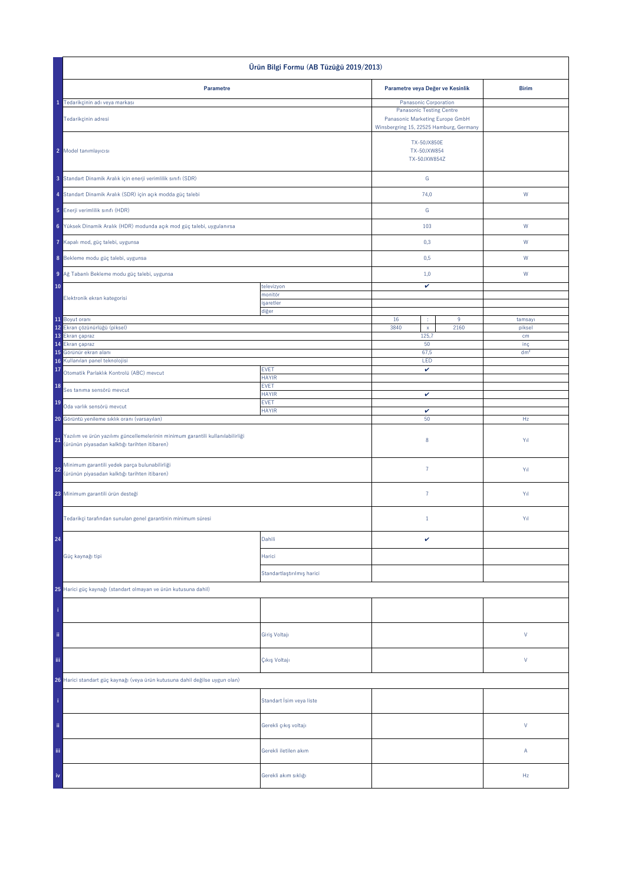| Ürün Bilgi Formu (AB Tüzüğü 2019/2013)                                                                                                 |                             |                                                                                                               |                  |                        |
|----------------------------------------------------------------------------------------------------------------------------------------|-----------------------------|---------------------------------------------------------------------------------------------------------------|------------------|------------------------|
| Parametre                                                                                                                              |                             | Parametre veya Değer ve Kesinlik                                                                              |                  | <b>Birim</b>           |
| 1 Tedarikçinin adı veya markası                                                                                                        |                             | Panasonic Corporation                                                                                         |                  |                        |
| Tedarikçinin adresi                                                                                                                    |                             | <b>Panasonic Testing Centre</b><br>Panasonic Marketing Europe GmbH<br>Winsbergring 15, 22525 Hamburg, Germany |                  |                        |
| 2 Model tanımlayıcısı                                                                                                                  |                             | TX-50JX850E<br>TX-50JXW854<br>TX-50JXW854Z                                                                    |                  |                        |
| 3 Standart Dinamik Aralık için enerji verimlilik sınıfı (SDR)                                                                          |                             | ${\mathsf G}$                                                                                                 |                  |                        |
| 4 Standart Dinamik Aralık (SDR) için açık modda güç talebi                                                                             |                             | 74,0                                                                                                          |                  | ${\sf W}$              |
| 5 Enerji verimlilik sınıfı (HDR)                                                                                                       |                             | ${\mathbb G}$                                                                                                 |                  |                        |
| 6 Yüksek Dinamik Aralık (HDR) modunda açık mod güç talebi, uygulanırsa                                                                 |                             | 103                                                                                                           |                  | W                      |
| Kapalı mod, güç talebi, uygunsa                                                                                                        |                             | 0,3                                                                                                           |                  | W                      |
| 8 Bekleme modu güç talebi, uygunsa                                                                                                     |                             | 0,5                                                                                                           |                  | W                      |
| 9 Ağ Tabanlı Bekleme modu güç talebi, uygunsa                                                                                          |                             | 1,0                                                                                                           |                  | W                      |
| 10                                                                                                                                     | televizyon                  | v                                                                                                             |                  |                        |
| Elektronik ekran kategorisi                                                                                                            | monitör<br>işaretler        |                                                                                                               |                  |                        |
| 11 Boyut oranı                                                                                                                         | diğer                       | 16<br>÷                                                                                                       | $\boldsymbol{9}$ | tamsayı                |
| 12 Ekran çözünürlüğü (piksel)                                                                                                          |                             | 3840<br>$\bar{\mathbf{x}}$                                                                                    | 2160             | piksel                 |
| 13 Ekran çapraz                                                                                                                        |                             | 125,7                                                                                                         |                  | cm                     |
| 14 Ekran çapraz<br>Görünür ekran alanı<br>15                                                                                           |                             | 50<br>67,5                                                                                                    |                  | inç<br>dm <sup>2</sup> |
| Kullanılan panel teknolojisi<br>16                                                                                                     |                             | LED                                                                                                           |                  |                        |
| 17<br>Otomatik Parlaklık Kontrolü (ABC) mevcut                                                                                         | <b>EVET</b><br><b>HAYIR</b> | $\checkmark$                                                                                                  |                  |                        |
| 18<br>Ses tanıma sensörü mevcut                                                                                                        | <b>EVET</b><br><b>HAYIR</b> | $\checkmark$                                                                                                  |                  |                        |
| 19<br>Oda varlık sensörü mevcut                                                                                                        | <b>EVET</b><br><b>HAYIR</b> | v                                                                                                             |                  |                        |
| 20 Görüntü yenileme sıklık oranı (varsayılan)                                                                                          |                             | 50                                                                                                            |                  | Hz                     |
| Yazılım ve ürün yazılımı güncellemelerinin minimum garantili kullanılabilirliği<br>21<br>(ürünün piyasadan kalktığı tarihten itibaren) |                             | $\bf 8$                                                                                                       |                  | Yıl                    |
| Minimum garantili yedek parça bulunabilirliği<br>22<br>(ürünün piyasadan kalktığı tarihten itibaren)                                   |                             | $\bf 7$                                                                                                       |                  | Yıl                    |
| 23 Minimum garantili ürün desteği                                                                                                      |                             | $\bf 7$                                                                                                       |                  | Yıl                    |
| Tedarikçi tarafından sunulan genel garantinin minimum süresi                                                                           |                             | $1\,$                                                                                                         |                  | Yıl                    |
| 24                                                                                                                                     | Dahili                      | $\checkmark$                                                                                                  |                  |                        |
| Güç kaynağı tipi                                                                                                                       | Harici                      |                                                                                                               |                  |                        |
|                                                                                                                                        | Standartlaştırılmış harici  |                                                                                                               |                  |                        |
| 25 Harici güç kaynağı (standart olmayan ve ürün kutusuna dahil)                                                                        |                             |                                                                                                               |                  |                        |
| î.                                                                                                                                     |                             |                                                                                                               |                  |                        |
| ii.                                                                                                                                    | Giriş Voltajı               |                                                                                                               |                  | $\mathsf{V}$           |
| iii.                                                                                                                                   | Çıkış Voltajı               |                                                                                                               |                  | $\mathsf{V}$           |
| 26 Harici standart güç kaynağı (veya ürün kutusuna dahil değilse uygun olan)                                                           |                             |                                                                                                               |                  |                        |
|                                                                                                                                        | Standart İsim veya liste    |                                                                                                               |                  |                        |
| ii.                                                                                                                                    | Gerekli çıkış voltajı       |                                                                                                               |                  | $\mathsf{V}$           |
| Ϊij                                                                                                                                    | Gerekli iletilen akım       |                                                                                                               |                  | Α                      |
|                                                                                                                                        | Gerekli akım sıklığı        |                                                                                                               |                  | Hz                     |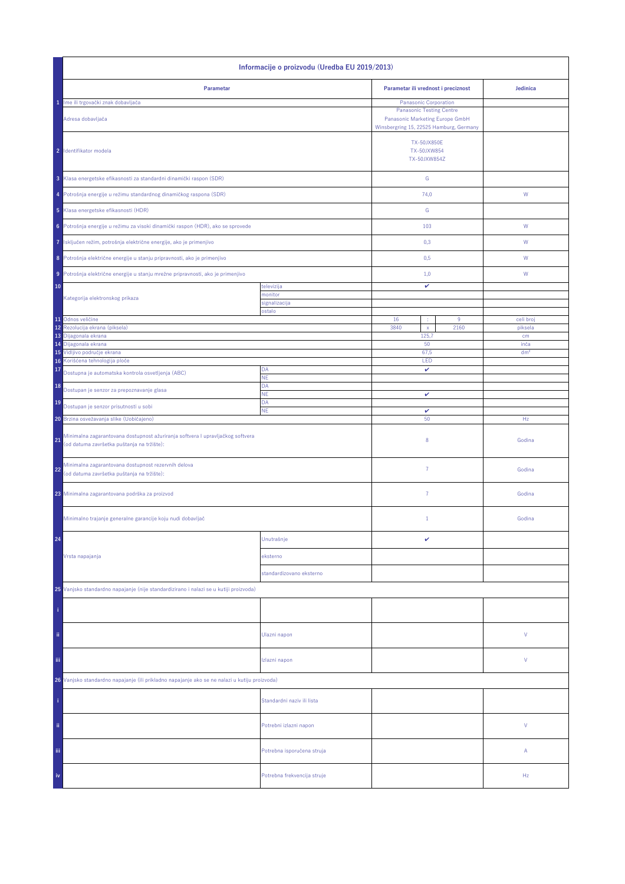| Informacije o proizvodu (Uredba EU 2019/2013)                                                                                      |                             |                                                                                                               |                         |  |
|------------------------------------------------------------------------------------------------------------------------------------|-----------------------------|---------------------------------------------------------------------------------------------------------------|-------------------------|--|
| Parametar                                                                                                                          |                             | Parametar ili vrednost i preciznost                                                                           | Jedinica                |  |
| 1 Ime ili trgovački znak dobavljača                                                                                                |                             | Panasonic Corporation                                                                                         |                         |  |
| Adresa dobavljača                                                                                                                  |                             | <b>Panasonic Testing Centre</b><br>Panasonic Marketing Europe GmbH<br>Winsbergring 15, 22525 Hamburg, Germany |                         |  |
| 2 Identifikator modela                                                                                                             |                             | <b>TX-50JX850E</b><br>TX-50JXW854<br>TX-50JXW854Z                                                             |                         |  |
| 3 Klasa energetske efikasnosti za standardni dinamički raspon (SDR)                                                                |                             | ${\mathsf G}$                                                                                                 |                         |  |
| 4 Potrošnja energije u režimu standardnog dinamičkog raspona (SDR)                                                                 |                             | 74,0                                                                                                          | W                       |  |
| 5 Klasa energetske efikasnosti (HDR)                                                                                               |                             | G                                                                                                             |                         |  |
| Potrošnja energije u režimu za visoki dinamički raspon (HDR), ako se sprovede<br>6                                                 |                             | 103                                                                                                           | W                       |  |
| Isključen režim, potrošnja električne energije, ako je primenjivo<br>7                                                             |                             | 0,3                                                                                                           | W                       |  |
| 8 Potrošnja električne energije u stanju pripravnosti, ako je primenjivo                                                           |                             | 0,5                                                                                                           | W                       |  |
| Potrošnja električne energije u stanju mrežne pripravnosti, ako je primenjivo<br>9 <sup>1</sup>                                    |                             | 1,0                                                                                                           | W                       |  |
| 10                                                                                                                                 | televizija                  | v                                                                                                             |                         |  |
| Kategorija elektronskog prikaza                                                                                                    | nonitor<br>signalizacija    |                                                                                                               |                         |  |
|                                                                                                                                    | ostalo                      |                                                                                                               |                         |  |
| 11 Odnos veličine<br>Rezolucija ekrana (piksela)<br>12                                                                             |                             | 16<br>9<br>÷<br>3840<br>2160<br>$\mathsf X$                                                                   | celi broj<br>piksela    |  |
| 13 Dijagonala ekrana                                                                                                               |                             | 125,7                                                                                                         | cm                      |  |
| 14 Dijagonala ekrana<br>15 Vidljivo područje ekrana                                                                                |                             | 50<br>67,5                                                                                                    | inča<br>dm <sup>2</sup> |  |
| 16 Korišćena tehnologija ploče                                                                                                     |                             | LED                                                                                                           |                         |  |
| 17<br>Dostupna je automatska kontrola osvetljenja (ABC)                                                                            | DA<br><b>NE</b>             | $\checkmark$                                                                                                  |                         |  |
| 18<br>Dostupan je senzor za prepoznavanje glasa                                                                                    | DA<br>NE                    | $\checkmark$                                                                                                  |                         |  |
| 19<br>Dostupan je senzor prisutnosti u sobi                                                                                        | DA                          |                                                                                                               |                         |  |
| <b>NE</b><br>20 Brzina osvežavanja slike (Uobičajeno)                                                                              |                             | v<br>50                                                                                                       | Hz                      |  |
| Minimalna zagarantovana dostupnost ažuriranja softvera I upravljačkog softvera<br>21<br>(od datuma završetka puštanja na tržište): |                             | 8                                                                                                             | Godina                  |  |
| Minimalna zagarantovana dostupnost rezervnih delova<br>22<br>(od datuma završetka puštanja na tržište):                            |                             | $\overline{7}$                                                                                                | Godina                  |  |
| 23 Minimalna zagarantovana podrška za proizvod                                                                                     |                             | $\overline{7}$                                                                                                | Godina                  |  |
| Minimalno trajanje generalne garancije koju nudi dobavljač                                                                         |                             | $1\,$                                                                                                         | Godina                  |  |
| 24                                                                                                                                 | Unutrašnje                  | v                                                                                                             |                         |  |
| Vrsta napajanja                                                                                                                    | eksterno                    |                                                                                                               |                         |  |
|                                                                                                                                    | standardizovano eksterno    |                                                                                                               |                         |  |
| 25 Vanjsko standardno napajanje (nije standardizirano i nalazi se u kutiji proizvoda)                                              |                             |                                                                                                               |                         |  |
|                                                                                                                                    |                             |                                                                                                               |                         |  |
| ii.                                                                                                                                | Ulazni napon                |                                                                                                               | V                       |  |
| iii.                                                                                                                               | Izlazni napon               |                                                                                                               | V                       |  |
| 26 Vanjsko standardno napajanje (ili prikladno napajanje ako se ne nalazi u kutiju proizvoda)                                      |                             |                                                                                                               |                         |  |
|                                                                                                                                    | Standardni naziv ili lista  |                                                                                                               |                         |  |
| ii.                                                                                                                                | Potrebni izlazni napon      |                                                                                                               | V                       |  |
| Ϊij                                                                                                                                | Potrebna isporučena struja  |                                                                                                               | Α                       |  |
| iv                                                                                                                                 | Potrebna frekvencija struje |                                                                                                               | Hz                      |  |